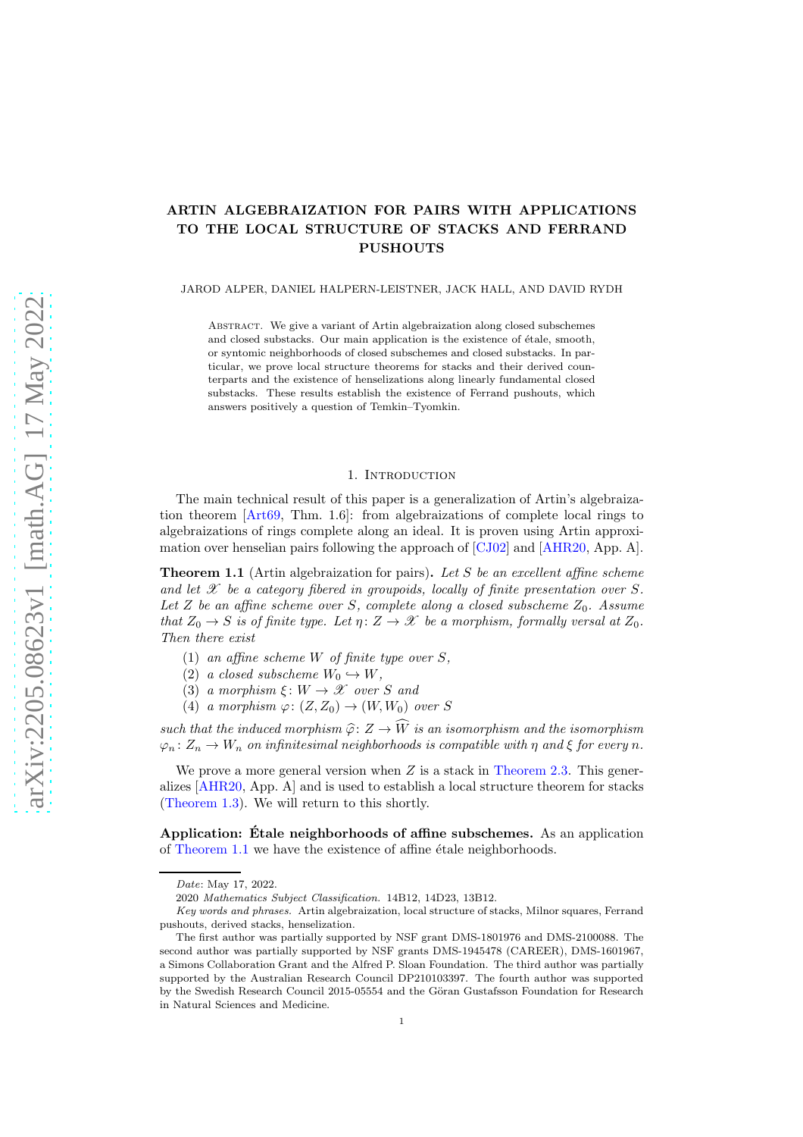# ARTIN ALGEBRAIZATION FOR PAIRS WITH APPLICATIONS TO THE LOCAL STRUCTURE OF STACKS AND FERRAND **PUSHOUTS**

JAROD ALPER, DANIEL HALPERN-LEISTNER, JACK HALL, AND DAVID RYDH

Abstract. We give a variant of Artin algebraization along closed subschemes and closed substacks. Our main application is the existence of étale, smooth, or syntomic neighborhoods of closed subschemes and closed substacks. In particular, we prove local structure theorems for stacks and their derived counterparts and the existence of henselizations along linearly fundamental closed substacks. These results establish the existence of Ferrand pushouts, which answers positively a question of Temkin–Tyomkin.

# 1. INTRODUCTION

The main technical result of this paper is a generalization of Artin's algebraization theorem [\[Art69,](#page-24-0) Thm. 1.6]: from algebraizations of complete local rings to algebraizations of rings complete along an ideal. It is proven using Artin approximation over henselian pairs following the approach of [\[CJ02\]](#page-24-1) and [\[AHR20,](#page-24-2) App. A].

<span id="page-0-0"></span>**Theorem 1.1** (Artin algebraization for pairs). Let S be an excellent affine scheme and let  $\mathscr X$  be a category fibered in groupoids, locally of finite presentation over S. Let Z be an affine scheme over S, complete along a closed subscheme  $Z_0$ . Assume that  $Z_0 \rightarrow S$  is of finite type. Let  $\eta: Z \rightarrow \mathscr{X}$  be a morphism, formally versal at  $Z_0$ . Then there exist

- (1) an affine scheme W of finite type over  $S$ ,
- (2) a closed subscheme  $W_0 \hookrightarrow W$ .
- (3) a morphism  $\xi: W \to \mathcal{X}$  over S and
- (4) a morphism  $\varphi: (Z, Z_0) \to (W, W_0)$  over S

such that the induced morphism  $\hat{\varphi} \colon Z \to \widehat{W}$  is an isomorphism and the isomorphism  $\varphi_n: Z_n \to W_n$  on infinitesimal neighborhoods is compatible with  $\eta$  and  $\xi$  for every n.

We prove a more general version when  $Z$  is a stack in [Theorem 2.3.](#page-6-0) This generalizes [\[AHR20,](#page-24-2) App. A] and is used to establish a local structure theorem for stacks [\(Theorem 1.3\)](#page-1-0). We will return to this shortly.

<span id="page-0-1"></span>Application: Étale neighborhoods of affine subschemes. As an application of [Theorem 1.1](#page-0-0) we have the existence of affine étale neighborhoods.

Date: May 17, 2022.

<sup>2020</sup> Mathematics Subject Classification. 14B12, 14D23, 13B12.

Key words and phrases. Artin algebraization, local structure of stacks, Milnor squares, Ferrand pushouts, derived stacks, henselization.

The first author was partially supported by NSF grant DMS-1801976 and DMS-2100088. The second author was partially supported by NSF grants DMS-1945478 (CAREER), DMS-1601967, a Simons Collaboration Grant and the Alfred P. Sloan Foundation. The third author was partially supported by the Australian Research Council DP210103397. The fourth author was supported by the Swedish Research Council 2015-05554 and the Göran Gustafsson Foundation for Research in Natural Sciences and Medicine.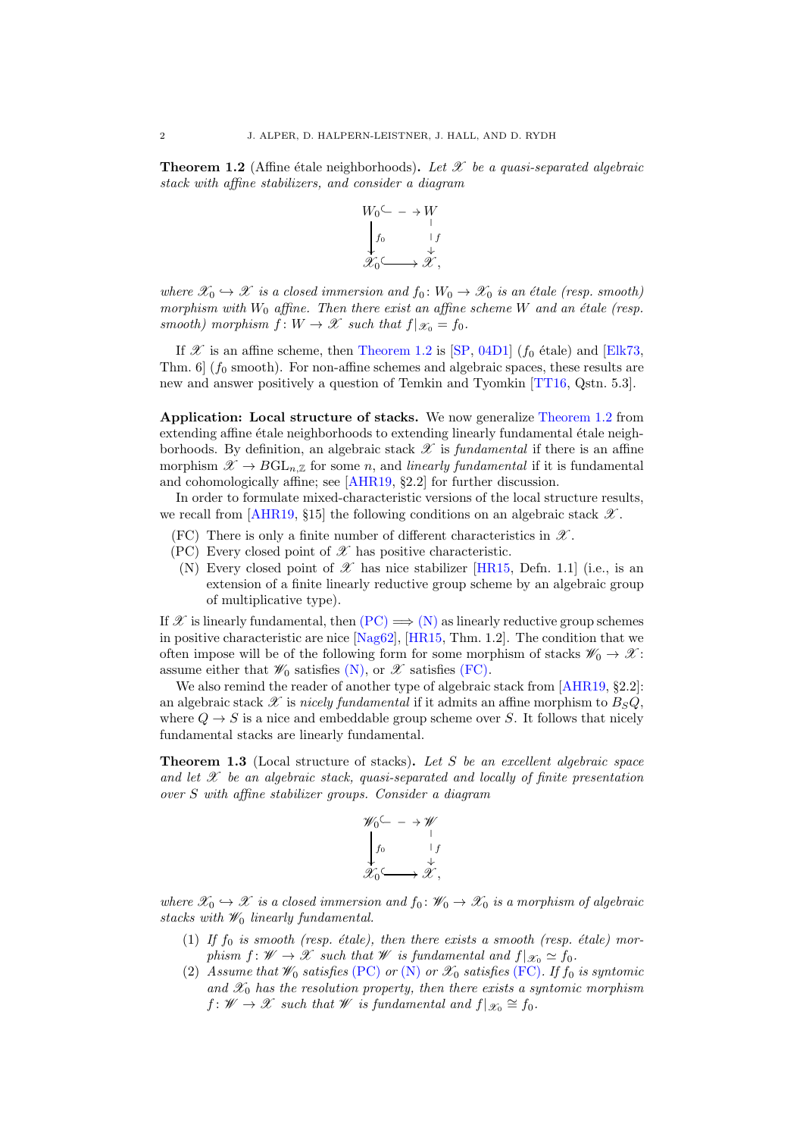**Theorem 1.2** (Affine étale neighborhoods). Let  $\mathcal{X}$  be a quasi-separated algebraic stack with affine stabilizers, and consider a diagram



where  $\mathscr{X}_0 \hookrightarrow \mathscr{X}$  is a closed immersion and  $f_0: W_0 \to \mathscr{X}_0$  is an étale (resp. smooth) morphism with  $W_0$  affine. Then there exist an affine scheme  $W$  and an étale (resp. smooth) morphism  $f: W \to \mathscr{X}$  such that  $f|_{\mathscr{X}_0} = f_0$ .

If  $\mathscr X$  is an affine scheme, then [Theorem 1.2](#page-0-1) is [\[SP,](#page-25-0) [04D1\]](http://stacks.math.columbia.edu/tag/04D1) ( $f_0$  étale) and [\[Elk73,](#page-24-3) Thm.  $6 \mid (f_0 \text{ smooth})$ . For non-affine schemes and algebraic spaces, these results are new and answer positively a question of Temkin and Tyomkin [\[TT16,](#page-25-1) Qstn. 5.3].

Application: Local structure of stacks. We now generalize [Theorem 1.2](#page-0-1) from extending affine étale neighborhoods to extending linearly fundamental étale neighborhoods. By definition, an algebraic stack  $\mathscr X$  is fundamental if there is an affine morphism  $\mathscr{X} \to BGL_n\mathbb{Z}$  for some n, and linearly fundamental if it is fundamental and cohomologically affine; see [\[AHR19,](#page-24-4) §2.2] for further discussion.

In order to formulate mixed-characteristic versions of the local structure results, we recall from [\[AHR19,](#page-24-4) §15] the following conditions on an algebraic stack  $\mathscr{X}$ .

- <span id="page-1-3"></span><span id="page-1-1"></span>(FC) There is only a finite number of different characteristics in  $\mathscr{X}$ .
- <span id="page-1-2"></span>(PC) Every closed point of  $\mathscr X$  has positive characteristic.
	- (N) Every closed point of  $\mathscr X$  has nice stabilizer [\[HR15,](#page-24-5) Defn. 1.1] (i.e., is an extension of a finite linearly reductive group scheme by an algebraic group of multiplicative type).

If X is linearly fundamental, then  $(PC) \implies (N)$  $(PC) \implies (N)$  $(PC) \implies (N)$  as linearly reductive group schemes in positive characteristic are nice [\[Nag62\]](#page-24-6), [\[HR15,](#page-24-5) Thm. 1.2]. The condition that we often impose will be of the following form for some morphism of stacks  $\mathscr{W}_0 \to \mathscr{X}$ : assume either that  $\mathscr{W}_0$  satisfies [\(N\),](#page-1-2) or  $\mathscr{X}$  satisfies [\(FC\).](#page-1-3)

We also remind the reader of another type of algebraic stack from [\[AHR19,](#page-24-4) §2.2]: an algebraic stack  $\mathscr X$  is nicely fundamental if it admits an affine morphism to  $B_SQ$ , where  $Q \to S$  is a nice and embeddable group scheme over S. It follows that nicely fundamental stacks are linearly fundamental.

<span id="page-1-0"></span>Theorem 1.3 (Local structure of stacks). Let S be an excellent algebraic space and let  $\mathscr X$  be an algebraic stack, quasi-separated and locally of finite presentation over S with affine stabilizer groups. Consider a diagram

$$
\mathscr{W}_0 \subseteq -\rightarrow \mathscr{W}
$$
\n
$$
\downarrow f_0 \qquad \qquad \downarrow f
$$
\n
$$
\mathscr{X}_0 \subseteq \longrightarrow \mathscr{X},
$$

where  $\mathscr{X}_0 \hookrightarrow \mathscr{X}$  is a closed immersion and  $f_0 \colon \mathscr{W}_0 \to \mathscr{X}_0$  is a morphism of algebraic stacks with  $\mathcal{W}_0$  linearly fundamental.

- <span id="page-1-4"></span>(1) If  $f_0$  is smooth (resp. étale), then there exists a smooth (resp. étale) morphism  $f: W \to \mathscr{X}$  such that W is fundamental and  $f|_{\mathscr{X}_0} \simeq f_0$ .
- <span id="page-1-5"></span>(2) Assume that  $\mathscr{W}_0$  satisfies [\(PC\)](#page-1-1) or [\(N\)](#page-1-2) or  $\mathscr{X}_0$  satisfies [\(FC\)](#page-1-3). If  $f_0$  is syntomic and  $\mathscr{X}_0$  has the resolution property, then there exists a syntomic morphism  $f: W \to \mathscr{X}$  such that W is fundamental and  $f|_{\mathscr{X}_0} \cong f_0$ .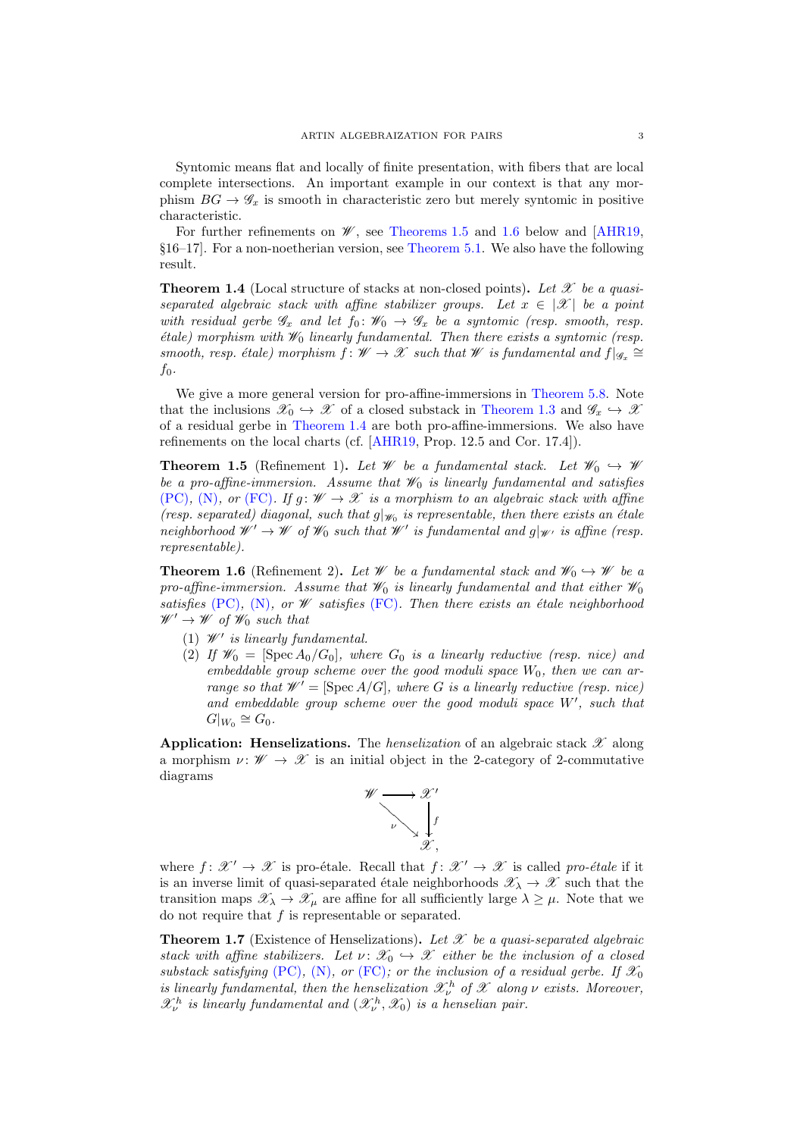Syntomic means flat and locally of finite presentation, with fibers that are local complete intersections. An important example in our context is that any morphism  $BG \rightarrow \mathscr{G}_x$  is smooth in characteristic zero but merely syntomic in positive characteristic.

For further refinements on  $\mathscr{W}$ , see [Theorems 1.5](#page-2-0) and [1.6](#page-2-1) below and [\[AHR19,](#page-24-4) §16–17]. For a non-noetherian version, see [Theorem 5.1.](#page-17-0) We also have the following result.

<span id="page-2-2"></span>**Theorem 1.4** (Local structure of stacks at non-closed points). Let  $\mathscr X$  be a quasiseparated algebraic stack with affine stabilizer groups. Let  $x \in |\mathcal{X}|$  be a point with residual gerbe  $\mathscr{G}_x$  and let  $f_0: \mathscr{W}_0 \to \mathscr{G}_x$  be a syntomic (resp. smooth, resp.  $\emph{\'e}tale)$  morphism with  $\mathscr{W}_0$  linearly fundamental. Then there exists a syntomic (resp. smooth, resp. étale) morphism  $f : \mathscr{W} \to \mathscr{X}$  such that W is fundamental and  $f|_{\mathscr{G}_x} \cong$  $f_0$ .

We give a more general version for pro-affine-immersions in [Theorem 5.8.](#page-19-0) Note that the inclusions  $\mathscr{X}_0 \hookrightarrow \mathscr{X}$  of a closed substack in [Theorem 1.3](#page-1-0) and  $\mathscr{G}_x \hookrightarrow \mathscr{X}$ of a residual gerbe in [Theorem 1.4](#page-2-2) are both pro-affine-immersions. We also have refinements on the local charts (cf. [\[AHR19,](#page-24-4) Prop. 12.5 and Cor. 17.4]).

<span id="page-2-0"></span>**Theorem 1.5** (Refinement 1). Let W be a fundamental stack. Let  $\mathcal{W}_0 \hookrightarrow \mathcal{W}$ be a pro-affine-immersion. Assume that  $\mathcal{W}_0$  is linearly fundamental and satisfies [\(PC\)](#page-1-1), [\(N\)](#page-1-2), or [\(FC\)](#page-1-3). If  $g: W \to \mathcal{X}$  is a morphism to an algebraic stack with affine (resp. separated) diagonal, such that  $g|_{\mathscr{W}_0}$  is representable, then there exists an étale neighborhood  $\mathscr{W}' \to \mathscr{W}$  of  $\mathscr{W}_0$  such that  $\mathscr{W}'$  is fundamental and  $g|_{\mathscr{W}'}$  is affine (resp. representable).

<span id="page-2-1"></span>**Theorem 1.6** (Refinement 2). Let W be a fundamental stack and  $\mathcal{W}_0 \hookrightarrow \mathcal{W}$  be a pro-affine-immersion. Assume that  $\mathscr{W}_0$  is linearly fundamental and that either  $\mathscr{W}_0$ satisfies [\(PC\)](#page-1-1), [\(N\)](#page-1-2), or  $W$  satisfies [\(FC\)](#page-1-3). Then there exists an étale neighborhood  $\mathscr{W}' \to \mathscr{W}$  of  $\mathscr{W}_0$  such that

- (1)  $\mathcal{W}'$  is linearly fundamental.
- (2) If  $\mathscr{W}_0 = [\operatorname{Spec} A_0/G_0]$ , where  $G_0$  is a linearly reductive (resp. nice) and embeddable group scheme over the good moduli space  $W_0$ , then we can arrange so that  $\mathscr{W}' = [\operatorname{Spec} A/G]$ , where G is a linearly reductive (resp. nice) and embeddable group scheme over the good moduli space W′ , such that  $G|_{W_0} \cong G_0.$

**Application:** Henselizations. The *henselization* of an algebraic stack  $\mathscr X$  along a morphism  $\nu: \mathscr{W} \to \mathscr{X}$  is an initial object in the 2-category of 2-commutative diagrams



where  $f: \mathscr{X}' \to \mathscr{X}$  is pro-étale. Recall that  $f: \mathscr{X}' \to \mathscr{X}$  is called pro-étale if it is an inverse limit of quasi-separated étale neighborhoods  $\mathscr{X}_{\lambda} \to \mathscr{X}$  such that the transition maps  $\mathscr{X}_{\lambda} \to \mathscr{X}_{\mu}$  are affine for all sufficiently large  $\lambda \geq \mu$ . Note that we do not require that  $f$  is representable or separated.

<span id="page-2-3"></span>**Theorem 1.7** (Existence of Henselizations). Let X be a quasi-separated algebraic stack with affine stabilizers. Let  $\nu: \mathscr{X}_0 \hookrightarrow \mathscr{X}$  either be the inclusion of a closed substack satisfying [\(PC\)](#page-1-1), [\(N\)](#page-1-2), or [\(FC\)](#page-1-3); or the inclusion of a residual gerbe. If  $\mathscr{X}_0$ is linearly fundamental, then the henselization  $\mathcal{X}_{\nu}^{h}$  of  $\mathcal X$  along  $\nu$  exists. Moreover,  $\mathcal{X}_{\nu}^{h}$  is linearly fundamental and  $(\mathcal{X}_{\nu}^{h}, \mathcal{X}_{0})$  is a henselian pair.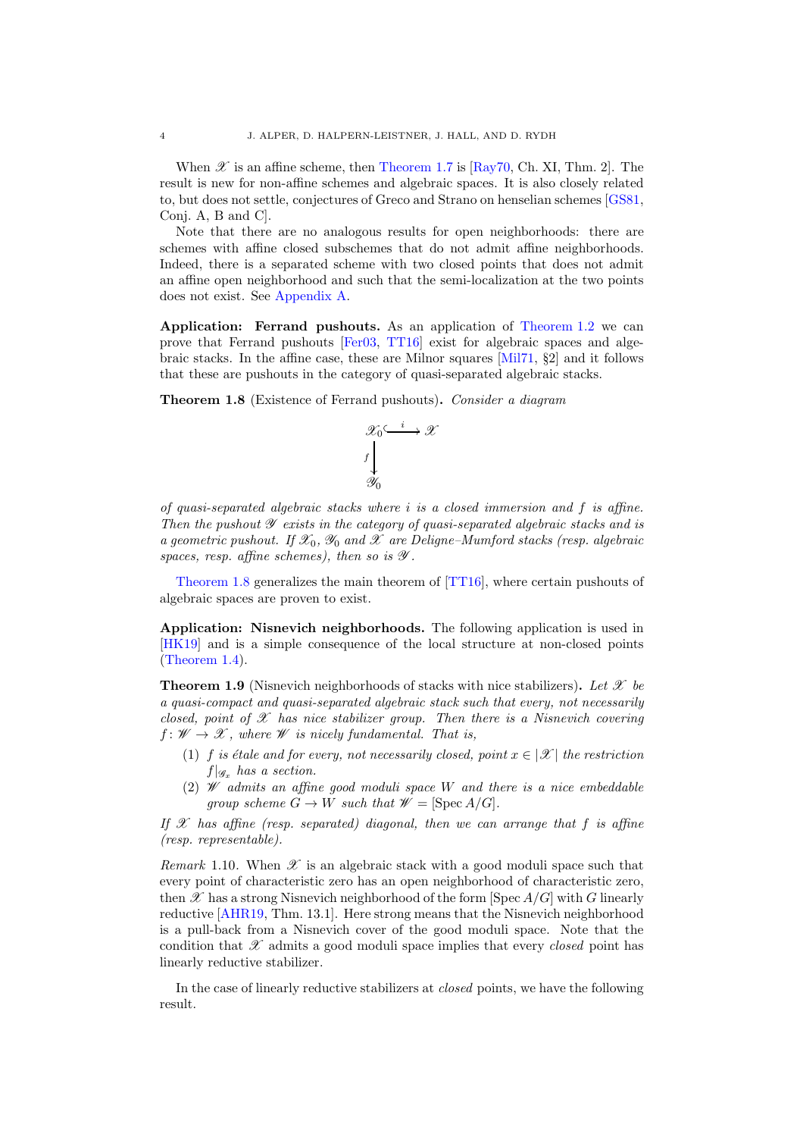When  $\mathscr X$  is an affine scheme, then [Theorem 1.7](#page-2-3) is [\[Ray70,](#page-25-2) Ch. XI, Thm. 2]. The result is new for non-affine schemes and algebraic spaces. It is also closely related to, but does not settle, conjectures of Greco and Strano on henselian schemes [\[GS81,](#page-24-7) Conj. A, B and C].

Note that there are no analogous results for open neighborhoods: there are schemes with affine closed subschemes that do not admit affine neighborhoods. Indeed, there is a separated scheme with two closed points that does not admit an affine open neighborhood and such that the semi-localization at the two points does not exist. See [Appendix A.](#page-23-0)

Application: Ferrand pushouts. As an application of [Theorem 1.2](#page-0-1) we can prove that Ferrand pushouts [\[Fer03,](#page-24-8) [TT16\]](#page-25-1) exist for algebraic spaces and algebraic stacks. In the affine case, these are Milnor squares [\[Mil71,](#page-24-9) §2] and it follows that these are pushouts in the category of quasi-separated algebraic stacks.

<span id="page-3-0"></span>**Theorem 1.8** (Existence of Ferrand pushouts). Consider a diagram



of quasi-separated algebraic stacks where i is a closed immersion and f is affine. Then the pushout  $\mathscr Y$  exists in the category of quasi-separated algebraic stacks and is a geometric pushout. If  $\mathscr{X}_0$ ,  $\mathscr{Y}_0$  and  $\mathscr{X}$  are Deligne–Mumford stacks (resp. algebraic spaces, resp. affine schemes), then so is  $\mathscr Y$ .

[Theorem 1.8](#page-3-0) generalizes the main theorem of [\[TT16\]](#page-25-1), where certain pushouts of algebraic spaces are proven to exist.

Application: Nisnevich neighborhoods. The following application is used in [\[HK19\]](#page-24-10) and is a simple consequence of the local structure at non-closed points [\(Theorem 1.4\)](#page-2-2).

<span id="page-3-1"></span>**Theorem 1.9** (Nisnevich neighborhoods of stacks with nice stabilizers). Let X be a quasi-compact and quasi-separated algebraic stack such that every, not necessarily closed, point of  $\mathscr X$  has nice stabilizer group. Then there is a Nisnevich covering  $f: W \to \mathscr{X}$ , where W is nicely fundamental. That is,

- (1) f is étale and for every, not necessarily closed, point  $x \in |\mathcal{X}|$  the restriction  $f|_{\mathscr{G}_x}$  has a section.
- (2)  $W$  admits an affine good moduli space W and there is a nice embeddable group scheme  $G \to W$  such that  $\mathscr{W} = [\text{Spec } A/G].$

If  $\mathscr X$  has affine (resp. separated) diagonal, then we can arrange that f is affine (resp. representable).

Remark 1.10. When  $\mathscr X$  is an algebraic stack with a good moduli space such that every point of characteristic zero has an open neighborhood of characteristic zero, then  $\mathscr X$  has a strong Nisnevich neighborhood of the form [Spec  $A/G$ ] with G linearly reductive [\[AHR19,](#page-24-4) Thm. 13.1]. Here strong means that the Nisnevich neighborhood is a pull-back from a Nisnevich cover of the good moduli space. Note that the condition that  $\mathscr X$  admits a good moduli space implies that every *closed* point has linearly reductive stabilizer.

<span id="page-3-2"></span>In the case of linearly reductive stabilizers at closed points, we have the following result.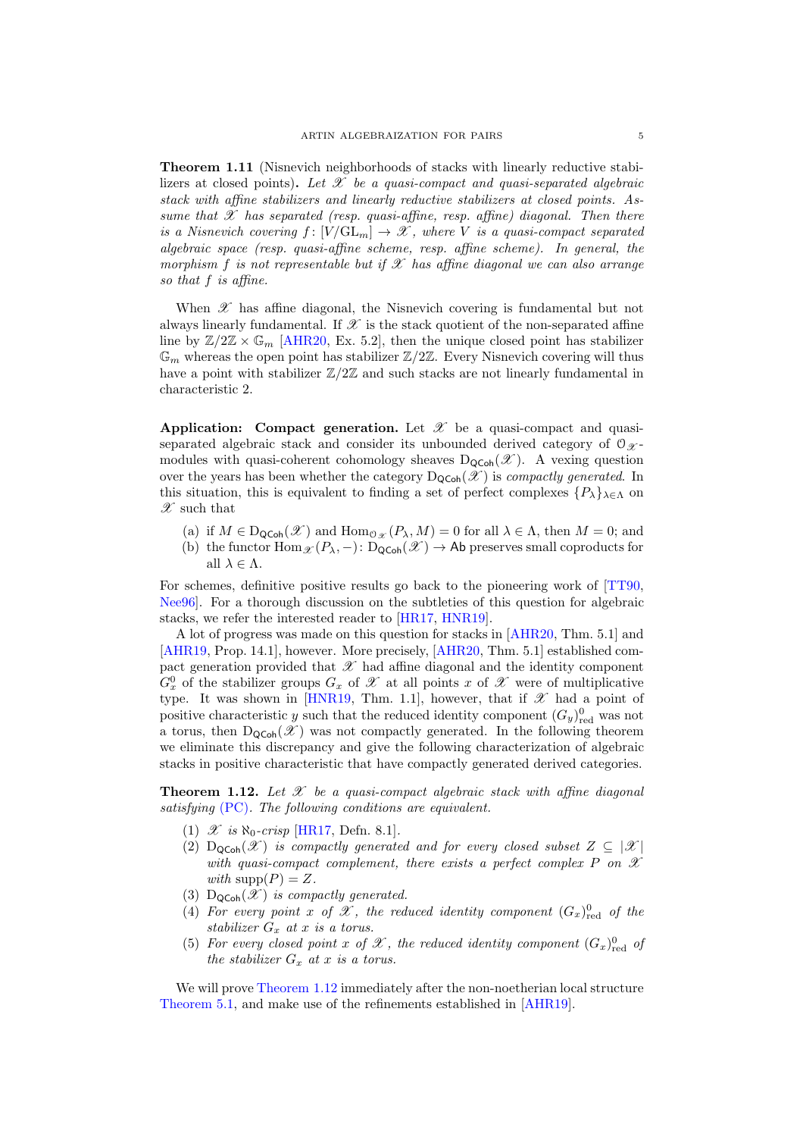Theorem 1.11 (Nisnevich neighborhoods of stacks with linearly reductive stabilizers at closed points). Let  $\mathscr X$  be a quasi-compact and quasi-separated algebraic stack with affine stabilizers and linearly reductive stabilizers at closed points. Assume that  $\mathscr X$  has separated (resp. quasi-affine, resp. affine) diagonal. Then there is a Nisnevich covering  $f : [V/\mathrm{GL}_m] \to \mathscr{X}$ , where V is a quasi-compact separated algebraic space (resp. quasi-affine scheme, resp. affine scheme). In general, the morphism f is not representable but if  $\mathscr X$  has affine diagonal we can also arrange so that f is affine.

When  $\mathscr X$  has affine diagonal, the Nisnevich covering is fundamental but not always linearly fundamental. If  $\mathscr X$  is the stack quotient of the non-separated affine line by  $\mathbb{Z}/2\mathbb{Z} \times \mathbb{G}_m$  [\[AHR20,](#page-24-2) Ex. 5.2], then the unique closed point has stabilizer  $\mathbb{G}_m$  whereas the open point has stabilizer  $\mathbb{Z}/2\mathbb{Z}$ . Every Nisnevich covering will thus have a point with stabilizer  $\mathbb{Z}/2\mathbb{Z}$  and such stacks are not linearly fundamental in characteristic 2.

Application: Compact generation. Let  $\mathscr X$  be a quasi-compact and quasiseparated algebraic stack and consider its unbounded derived category of  $\mathcal{O}_{\mathcal{X}}$ modules with quasi-coherent cohomology sheaves  $D_{\text{QCoh}}(\mathscr{X})$ . A vexing question over the years has been whether the category  $D_{\text{QCoh}}(\mathscr{X})$  is compactly generated. In this situation, this is equivalent to finding a set of perfect complexes  $\{P_\lambda\}_{\lambda \in \Lambda}$  on  $\mathscr X$  such that

- (a) if  $M \in D_{\text{QCoh}}(\mathscr{X})$  and  $\text{Hom}_{\mathcal{O}_{\mathscr{X}}}(P_{\lambda}, M) = 0$  for all  $\lambda \in \Lambda$ , then  $M = 0$ ; and
- (b) the functor  $\text{Hom}_{\mathscr{X}}(P_{\lambda}, -)$ :  $\text{D}_{\text{QCoh}}(\mathscr{X}) \to \text{Ab}$  preserves small coproducts for all  $\lambda \in \Lambda$ .

For schemes, definitive positive results go back to the pioneering work of [\[TT90,](#page-25-3) [Nee96\]](#page-25-4). For a thorough discussion on the subtleties of this question for algebraic stacks, we refer the interested reader to [\[HR17,](#page-24-11) [HNR19\]](#page-24-12).

A lot of progress was made on this question for stacks in [\[AHR20,](#page-24-2) Thm. 5.1] and [\[AHR19,](#page-24-4) Prop. 14.1], however. More precisely, [\[AHR20,](#page-24-2) Thm. 5.1] established compact generation provided that  $\mathscr X$  had affine diagonal and the identity component  $G_x^0$  of the stabilizer groups  $G_x$  of  $\mathscr X$  at all points x of  $\mathscr X$  were of multiplicative type. It was shown in [\[HNR19,](#page-24-12) Thm. 1.1], however, that if  $\mathscr X$  had a point of positive characteristic y such that the reduced identity component  $(G_y)_{\text{red}}^0$  was not a torus, then  $D_{\text{QCoh}}(\mathscr{X})$  was not compactly generated. In the following theorem we eliminate this discrepancy and give the following characterization of algebraic stacks in positive characteristic that have compactly generated derived categories.

<span id="page-4-1"></span><span id="page-4-0"></span>**Theorem 1.12.** Let X be a quasi-compact algebraic stack with affine diagonal satisfying [\(PC\)](#page-1-1). The following conditions are equivalent.

- <span id="page-4-2"></span>(1)  $\mathscr{X}$  is  $\aleph_0\text{-}crisp$  [\[HR17,](#page-24-11) Defn. 8.1].
- (2)  $D_{\text{QCoh}}(\mathcal{X})$  is compactly generated and for every closed subset  $Z \subseteq |\mathcal{X}|$ with quasi-compact complement, there exists a perfect complex P on  $\mathscr X$ with  $\text{supp}(P) = Z$ .
- <span id="page-4-4"></span><span id="page-4-3"></span>(3)  $D_{\text{QCoh}}(\mathscr{X})$  is compactly generated.
- (4) For every point x of X, the reduced identity component  $(G_x)_{red}^0$  of the stabilizer  $G_x$  at x is a torus.
- <span id="page-4-5"></span>(5) For every closed point x of  $\mathscr X$ , the reduced identity component  $(G_x)_{\text{red}}^0$  of the stabilizer  $G_x$  at x is a torus.

We will prove [Theorem 1.12](#page-4-0) immediately after the non-noetherian local structure [Theorem 5.1,](#page-17-0) and make use of the refinements established in [\[AHR19\]](#page-24-4).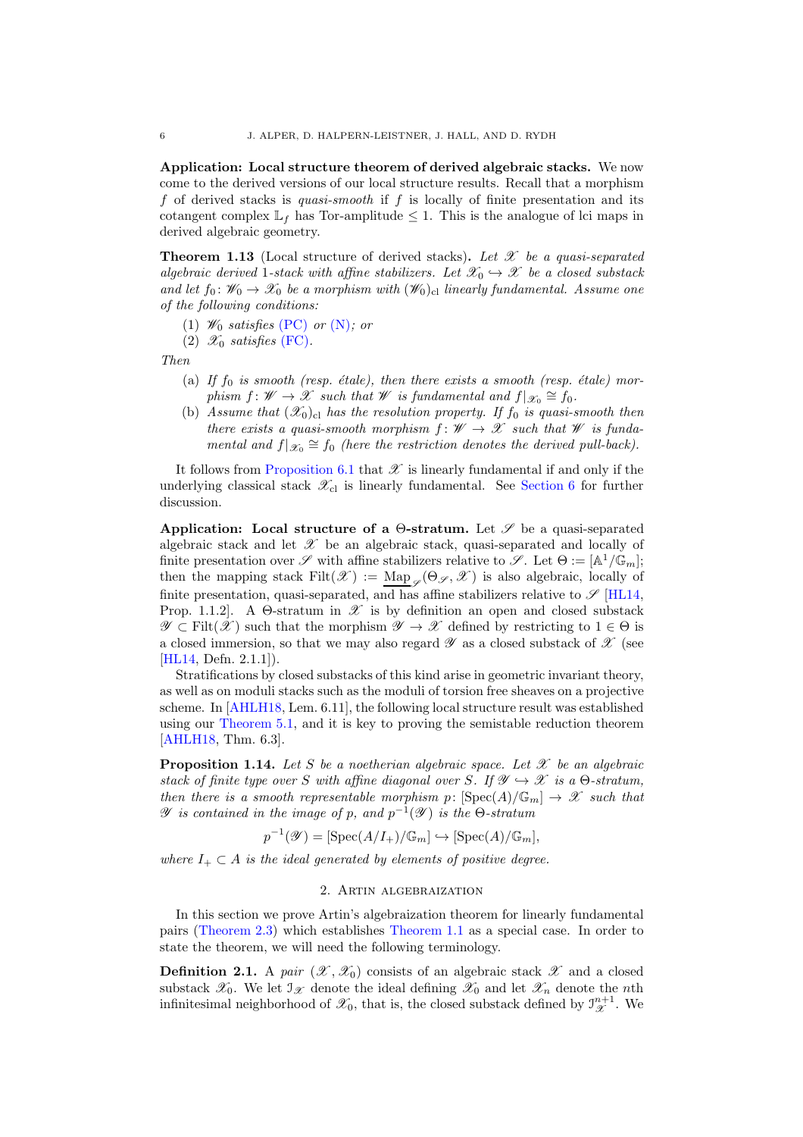Application: Local structure theorem of derived algebraic stacks. We now come to the derived versions of our local structure results. Recall that a morphism f of derived stacks is *quasi-smooth* if  $f$  is locally of finite presentation and its cotangent complex  $\mathbb{L}_f$  has Tor-amplitude  $\leq 1$ . This is the analogue of lci maps in derived algebraic geometry.

<span id="page-5-0"></span>**Theorem 1.13** (Local structure of derived stacks). Let  $\mathscr X$  be a quasi-separated algebraic derived 1-stack with affine stabilizers. Let  $\mathscr{X}_0 \hookrightarrow \mathscr{X}$  be a closed substack and let  $f_0: \mathscr{W}_0 \to \mathscr{X}_0$  be a morphism with  $(\mathscr{W}_0)_{\text{cl}}$  linearly fundamental. Assume one of the following conditions:

- (1)  $\mathscr{W}_0$  satisfies [\(PC\)](#page-1-1) or [\(N\)](#page-1-2); or
- (2)  $\mathscr{X}_0$  satisfies [\(FC\)](#page-1-3).

Then

- (a) If  $f_0$  is smooth (resp. étale), then there exists a smooth (resp. étale) morphism  $f: W \to \mathscr{X}$  such that W is fundamental and  $f(x_0 \cong f_0$ .
- (b) Assume that  $(\mathscr{X}_0)_{\text{cl}}$  has the resolution property. If  $f_0$  is quasi-smooth then there exists a quasi-smooth morphism  $f: W \to \mathcal{X}$  such that W is fundamental and  $f(x_0 \cong f_0$  (here the restriction denotes the derived pull-back).

It follows from [Proposition 6.1](#page-21-0) that  $\mathscr X$  is linearly fundamental if and only if the underlying classical stack  $\mathscr{X}_{\text{cl}}$  is linearly fundamental. See [Section 6](#page-21-1) for further discussion.

Application: Local structure of a  $\Theta$ -stratum. Let  $\mathscr S$  be a quasi-separated algebraic stack and let  $\mathscr X$  be an algebraic stack, quasi-separated and locally of finite presentation over  $\mathscr S$  with affine stabilizers relative to  $\mathscr S$ . Let  $\Theta := [\mathbb{A}^1/\mathbb{G}_m]$ ; then the mapping stack  $Filt(\mathscr{X}) := \underline{Map}_{\mathscr{S}}(\Theta_{\mathscr{S}}, \mathscr{X})$  is also algebraic, locally of finite presentation, quasi-separated, and has affine stabilizers relative to  $\mathscr{S}$  [\[HL14,](#page-24-13) Prop. 1.1.2. A  $\Theta$ -stratum in  $\mathscr X$  is by definition an open and closed substack  $\mathscr{Y} \subset \text{Filt}(\mathscr{X})$  such that the morphism  $\mathscr{Y} \to \mathscr{X}$  defined by restricting to  $1 \in \Theta$  is a closed immersion, so that we may also regard  $\mathscr Y$  as a closed substack of  $\mathscr X$  (see [\[HL14,](#page-24-13) Defn. 2.1.1]).

Stratifications by closed substacks of this kind arise in geometric invariant theory, as well as on moduli stacks such as the moduli of torsion free sheaves on a projective scheme. In [\[AHLH18,](#page-24-14) Lem. 6.11], the following local structure result was established using our [Theorem 5.1,](#page-17-0) and it is key to proving the semistable reduction theorem [\[AHLH18,](#page-24-14) Thm. 6.3].

**Proposition 1.14.** Let S be a noetherian algebraic space. Let  $\mathcal{X}$  be an algebraic stack of finite type over S with affine diagonal over S. If  $\mathscr{Y} \hookrightarrow \mathscr{X}$  is a  $\Theta$ -stratum, then there is a smooth representable morphism p:  $[\text{Spec}(A)/\mathbb{G}_m] \to \mathscr{X}$  such that  $\mathscr Y$  is contained in the image of p, and  $p^{-1}(\mathscr Y)$  is the  $\Theta$ -stratum

$$
p^{-1}(\mathscr{Y}) = [\operatorname{Spec}(A/I_+) / \mathbb{G}_m] \hookrightarrow [\operatorname{Spec}(A) / \mathbb{G}_m],
$$

where  $I_+ \subset A$  is the ideal generated by elements of positive degree.

#### 2. Artin algebraization

In this section we prove Artin's algebraization theorem for linearly fundamental pairs [\(Theorem 2.3\)](#page-6-0) which establishes [Theorem 1.1](#page-0-0) as a special case. In order to state the theorem, we will need the following terminology.

**Definition 2.1.** A pair  $(\mathscr{X}, \mathscr{X}_0)$  consists of an algebraic stack  $\mathscr{X}$  and a closed substack  $\mathscr{X}_0$ . We let  $\mathscr{I}_{\mathscr{X}}$  denote the ideal defining  $\mathscr{X}_0$  and let  $\mathscr{X}_n$  denote the *n*th infinitesimal neighborhood of  $\mathscr{X}_0$ , that is, the closed substack defined by  $\mathcal{I}_{\mathscr{X}}^{n+1}$ . We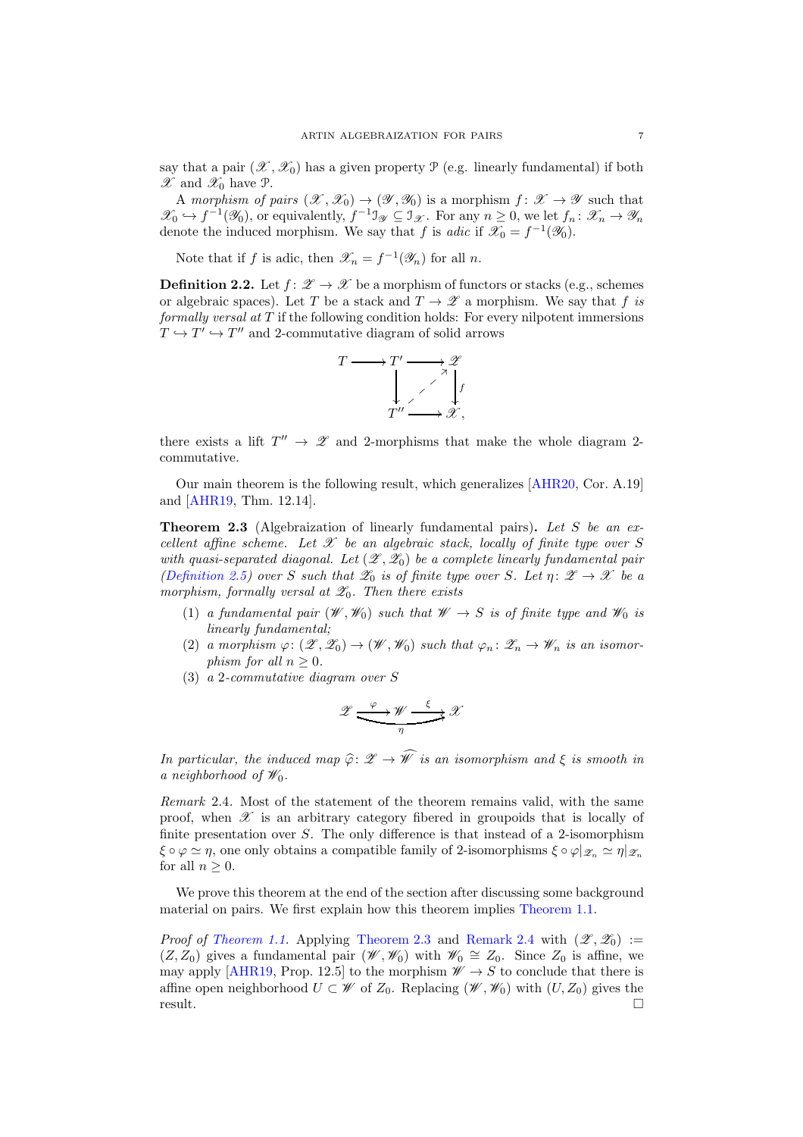say that a pair  $(\mathscr{X}, \mathscr{X}_0)$  has a given property  $\mathscr{P}$  (e.g. linearly fundamental) if both  $\mathscr{X}$  and  $\mathscr{X}_0$  have  $\mathscr{P}$ .

A morphism of pairs  $(\mathscr{X}, \mathscr{X}_0) \to (\mathscr{Y}, \mathscr{Y}_0)$  is a morphism  $f: \mathscr{X} \to \mathscr{Y}$  such that  $\mathscr{X}_0 \hookrightarrow f^{-1}(\mathscr{Y}_0)$ , or equivalently,  $f^{-1} \mathbb{J}_{\mathscr{Y}} \subseteq \mathbb{J}_{\mathscr{X}}$ . For any  $n \geq 0$ , we let  $f_n: \mathscr{X}_n \to \mathscr{Y}_n$ denote the induced morphism. We say that f is *adic* if  $\mathscr{X}_0 = f^{-1}(\mathscr{Y}_0)$ .

<span id="page-6-2"></span>Note that if f is adic, then  $\mathscr{X}_n = f^{-1}(\mathscr{Y}_n)$  for all n.

**Definition 2.2.** Let  $f: \mathscr{Z} \to \mathscr{X}$  be a morphism of functors or stacks (e.g., schemes or algebraic spaces). Let T be a stack and  $T \to \mathscr{Z}$  a morphism. We say that f is formally versal at  $T$  if the following condition holds: For every nilpotent immersions  $T \hookrightarrow T' \hookrightarrow T''$  and 2-commutative diagram of solid arrows



there exists a lift  $T'' \rightarrow \mathscr{Z}$  and 2-morphisms that make the whole diagram 2commutative.

<span id="page-6-0"></span>Our main theorem is the following result, which generalizes [\[AHR20,](#page-24-2) Cor. A.19] and [\[AHR19,](#page-24-4) Thm. 12.14].

**Theorem 2.3** (Algebraization of linearly fundamental pairs). Let S be an excellent affine scheme. Let  $\mathscr X$  be an algebraic stack, locally of finite type over S with quasi-separated diagonal. Let  $(\mathscr{Z}, \mathscr{Z}_0)$  be a complete linearly fundamental pair [\(Definition 2.5\)](#page-7-0) over S such that  $\mathscr{Z}_0$  is of finite type over S. Let  $\eta: \mathscr{Z} \to \mathscr{X}$  be a morphism, formally versal at  $\mathscr{Z}_0$ . Then there exists

- (1) a fundamental pair  $(\mathscr{W}, \mathscr{W}_0)$  such that  $\mathscr{W} \to S$  is of finite type and  $\mathscr{W}_0$  is linearly fundamental;
- (2) a morphism  $\varphi: (\mathscr{Z}, \mathscr{Z}_0) \to (\mathscr{W}, \mathscr{W}_0)$  such that  $\varphi_n: \mathscr{Z}_n \to \mathscr{W}_n$  is an isomorphism for all  $n > 0$ .
- (3) a 2-commutative diagram over S

$$
\mathscr{Z} \xrightarrow{\varphi} \mathscr{W} \xrightarrow{\xi} \mathscr{X}
$$

In particular, the induced map  $\hat{\varphi} \colon \mathscr{Z} \to \hat{\mathscr{W}}$  is an isomorphism and  $\xi$  is smooth in a neighborhood of  $\mathscr{W}_0$ .

<span id="page-6-1"></span>Remark 2.4. Most of the statement of the theorem remains valid, with the same proof, when  $\mathscr X$  is an arbitrary category fibered in groupoids that is locally of finite presentation over  $S$ . The only difference is that instead of a 2-isomorphism  $\xi \circ \varphi \simeq \eta$ , one only obtains a compatible family of 2-isomorphisms  $\xi \circ \varphi |_{\mathscr{Z}_n} \simeq \eta |_{\mathscr{Z}_n}$ for all  $n > 0$ .

We prove this theorem at the end of the section after discussing some background material on pairs. We first explain how this theorem implies [Theorem 1.1.](#page-0-0)

*Proof of [Theorem 1.1.](#page-0-0)* Applying [Theorem 2.3](#page-6-0) and [Remark 2.4](#page-6-1) with  $(\mathscr{Z}, \mathscr{Z}_0) :=$  $(Z, Z_0)$  gives a fundamental pair  $(\mathscr{W}, \mathscr{W}_0)$  with  $\mathscr{W}_0 \cong Z_0$ . Since  $Z_0$  is affine, we may apply [\[AHR19,](#page-24-4) Prop. 12.5] to the morphism  $\mathscr{W} \to S$  to conclude that there is affine open neighborhood  $U \subset \mathscr{W}$  of  $Z_0$ . Replacing  $(\mathscr{W}, \mathscr{W}_0)$  with  $(U, Z_0)$  gives the result.  $\Box$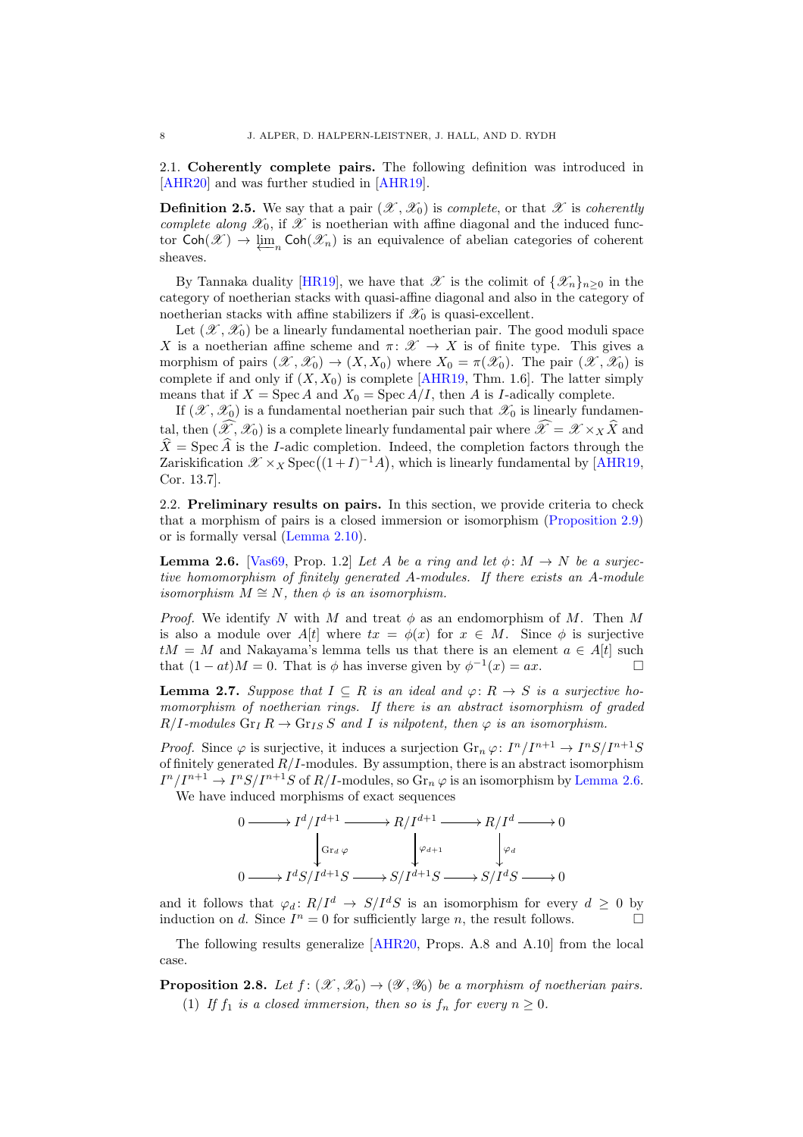<span id="page-7-0"></span>2.1. Coherently complete pairs. The following definition was introduced in [\[AHR20\]](#page-24-2) and was further studied in [\[AHR19\]](#page-24-4).

**Definition 2.5.** We say that a pair  $(\mathscr{X}, \mathscr{X}_0)$  is *complete*, or that  $\mathscr{X}$  is *coherently* complete along  $\mathscr{X}_0$ , if  $\mathscr{X}$  is noetherian with affine diagonal and the induced functor  $\text{Coh}(\mathscr{X}) \to \varprojlim_n \text{Coh}(\mathscr{X}_n)$  is an equivalence of abelian categories of coherent sheaves.

By Tannaka duality [\[HR19\]](#page-24-15), we have that  $\mathscr X$  is the colimit of  $\{\mathscr X_n\}_{n>0}$  in the category of noetherian stacks with quasi-affine diagonal and also in the category of noetherian stacks with affine stabilizers if  $\mathscr{X}_0$  is quasi-excellent.

Let  $(\mathscr{X}, \mathscr{X}_0)$  be a linearly fundamental noetherian pair. The good moduli space X is a noetherian affine scheme and  $\pi: \mathscr{X} \to X$  is of finite type. This gives a morphism of pairs  $(\mathscr{X}, \mathscr{X}_0) \to (X, X_0)$  where  $X_0 = \pi(\mathscr{X}_0)$ . The pair  $(\mathscr{X}, \mathscr{X}_0)$  is complete if and only if  $(X, X_0)$  is complete [\[AHR19,](#page-24-4) Thm. 1.6]. The latter simply means that if  $X = \text{Spec } A$  and  $X_0 = \text{Spec } A/I$ , then A is I-adically complete.

If  $(\mathscr{X}, \mathscr{X}_0)$  is a fundamental noetherian pair such that  $\mathscr{X}_0$  is linearly fundamental, then  $(\widehat{\mathscr{X}}, \mathscr{X}_0)$  is a complete linearly fundamental pair where  $\widehat{\mathscr{X}} = \mathscr{X} \times_X \widehat{X}$  and  $\hat{X} = \text{Spec } \hat{A}$  is the I-adic completion. Indeed, the completion factors through the  $Z$ ariskification  $\mathscr{X} \times_X \text{Spec}((1+I)^{-1}A)$ , which is linearly fundamental by [\[AHR19,](#page-24-4) Cor. 13.7].

2.2. Preliminary results on pairs. In this section, we provide criteria to check that a morphism of pairs is a closed immersion or isomorphism [\(Proposition 2.9\)](#page-8-0) or is formally versal [\(Lemma 2.10\)](#page-8-1).

<span id="page-7-1"></span>**Lemma 2.6.** [\[Vas69,](#page-25-5) Prop. 1.2] Let A be a ring and let  $\phi: M \to N$  be a surjective homomorphism of finitely generated A-modules. If there exists an A-module isomorphism  $M \cong N$ , then  $\phi$  is an isomorphism.

*Proof.* We identify N with M and treat  $\phi$  as an endomorphism of M. Then M is also a module over  $A[t]$  where  $tx = \phi(x)$  for  $x \in M$ . Since  $\phi$  is surjective  $tM = M$  and Nakayama's lemma tells us that there is an element  $a \in A[t]$  such that  $(1 - at)M = 0$ . That is  $\phi$  has inverse given by  $\phi^{-1}(x) = ax$ .

<span id="page-7-2"></span>**Lemma 2.7.** Suppose that  $I \subseteq R$  is an ideal and  $\varphi: R \to S$  is a surjective homomorphism of noetherian rings. If there is an abstract isomorphism of graded  $R/I$ -modules  $\text{Gr}_I R \to \text{Gr}_{IS} S$  and I is nilpotent, then  $\varphi$  is an isomorphism.

*Proof.* Since  $\varphi$  is surjective, it induces a surjection  $\mathrm{Gr}_n \varphi: I^n/I^{n+1} \to I^nS/I^{n+1}S$ of finitely generated  $R/I$ -modules. By assumption, there is an abstract isomorphism  $I^n/I^{n+1} \to I^nS/I^{n+1}S$  of  $R/I$ -modules, so  $\text{Gr}_n \varphi$  is an isomorphism by [Lemma 2.6.](#page-7-1) We have induced morphisms of exact sequences

> $0 \longrightarrow I^d/I^{d+1} \longrightarrow$  $\textrm{Gr}_{d}\ \varphi$  $\overline{ }$  $R/I^{d+1} \longrightarrow$  $\varphi_{d+1}$ Ļ  $R/I^d \longrightarrow$  $\varphi_d$  $\overline{ }$  $\boldsymbol{0}$  $0 \longrightarrow I^dS/I^{d+1}S \longrightarrow S/I^{d+1}S \longrightarrow S/I^dS \longrightarrow 0$

and it follows that  $\varphi_d : R/I^d \to S/I^dS$  is an isomorphism for every  $d \geq 0$  by induction on d. Since  $I^n = 0$  for sufficiently large n, the result follows.

<span id="page-7-3"></span>The following results generalize [\[AHR20,](#page-24-2) Props. A.8 and A.10] from the local case.

**Proposition 2.8.** Let  $f : (\mathcal{X}, \mathcal{X}_0) \to (\mathcal{Y}, \mathcal{Y}_0)$  be a morphism of noetherian pairs. (1) If  $f_1$  is a closed immersion, then so is  $f_n$  for every  $n \geq 0$ .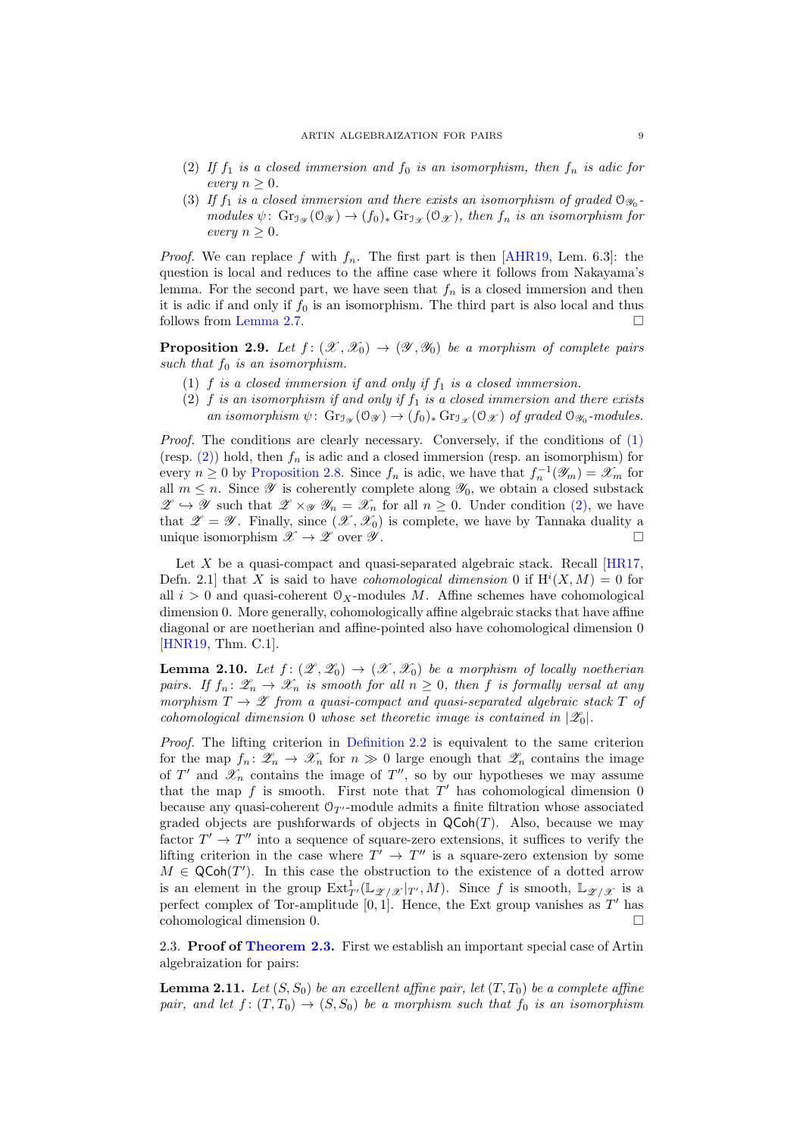- (2) If  $f_1$  is a closed immersion and  $f_0$  is an isomorphism, then  $f_n$  is adic for every  $n \geq 0$ .
- (3) If  $f_1$  is a closed immersion and there exists an isomorphism of graded  $\mathcal{O}_{\mathcal{D}_0}$ modules  $\psi: \operatorname{Gr}_{\mathcal{I}_{\mathcal{H}}}(\mathcal{O}_{\mathcal{F}}) \to (f_0)_* \operatorname{Gr}_{\mathcal{I}_{\mathcal{F}}}(\mathcal{O}_{\mathcal{F}})$ , then  $f_n$  is an isomorphism for every  $n \geq 0$ .

*Proof.* We can replace f with  $f_n$ . The first part is then [\[AHR19,](#page-24-4) Lem. 6.3]: the question is local and reduces to the affine case where it follows from Nakayama's lemma. For the second part, we have seen that  $f_n$  is a closed immersion and then it is adic if and only if  $f_0$  is an isomorphism. The third part is also local and thus follows from [Lemma 2.7.](#page-7-2)

<span id="page-8-2"></span><span id="page-8-0"></span>**Proposition 2.9.** Let  $f : (\mathcal{X}, \mathcal{X}_0) \to (\mathcal{Y}, \mathcal{Y}_0)$  be a morphism of complete pairs such that  $f_0$  is an isomorphism.

- <span id="page-8-3"></span>(1) f is a closed immersion if and only if  $f_1$  is a closed immersion.
- (2) f is an isomorphism if and only if  $f_1$  is a closed immersion and there exists an isomorphism  $\psi$ :  $\text{Gr}_{\mathcal{I}_{\mathcal{X}}}(\mathcal{O}_{\mathcal{X}}) \to (f_0)_* \text{Gr}_{\mathcal{X}}(\mathcal{O}_{\mathcal{X}})$  of graded  $\mathcal{O}_{\mathcal{Y}_0}$ -modules.

Proof. The conditions are clearly necessary. Conversely, if the conditions of  $(1)$ (resp.  $(2)$ ) hold, then  $f_n$  is adic and a closed immersion (resp. an isomorphism) for every  $n \geq 0$  by [Proposition 2.8.](#page-7-3) Since  $f_n$  is adic, we have that  $f_n^{-1}(\mathscr{Y}_m) = \mathscr{X}_m$  for all  $m \leq n$ . Since  $\mathscr Y$  is coherently complete along  $\mathscr Y_0$ , we obtain a closed substack  $\mathscr{Z} \hookrightarrow \mathscr{Y}$  such that  $\mathscr{Z} \times_{\mathscr{Y}} \mathscr{Y}_n = \mathscr{X}_n$  for all  $n \geq 0$ . Under condition [\(2\),](#page-8-3) we have that  $\mathscr{Z} = \mathscr{Y}$ . Finally, since  $(\mathscr{X}, \mathscr{X}_0)$  is complete, we have by Tannaka duality a unique isomorphism  $\mathscr{X} \to \mathscr{Z}$  over  $\mathscr{Y}$ .

Let X be a quasi-compact and quasi-separated algebraic stack. Recall [\[HR17,](#page-24-11) Defn. 2.1 that X is said to have *cohomological dimension* 0 if  $H^{i}(X, M) = 0$  for all  $i > 0$  and quasi-coherent  $\mathcal{O}_X$ -modules M. Affine schemes have cohomological dimension 0. More generally, cohomologically affine algebraic stacks that have affine diagonal or are noetherian and affine-pointed also have cohomological dimension 0 [\[HNR19,](#page-24-12) Thm. C.1].

<span id="page-8-1"></span>**Lemma 2.10.** Let  $f: (\mathcal{Z}, \mathcal{Z}_0) \to (\mathcal{X}, \mathcal{X}_0)$  be a morphism of locally noetherian pairs. If  $f_n: \mathscr{Z}_n \to \mathscr{X}_n$  is smooth for all  $n \geq 0$ , then f is formally versal at any morphism  $T \to \mathscr{Z}$  from a quasi-compact and quasi-separated algebraic stack T of cohomological dimension 0 whose set theoretic image is contained in  $|\mathscr{Z}_0|$ .

Proof. The lifting criterion in [Definition 2.2](#page-6-2) is equivalent to the same criterion for the map  $f_n: \mathscr{Z}_n \to \mathscr{X}_n$  for  $n \gg 0$  large enough that  $\mathscr{Z}_n$  contains the image of  $T'$  and  $\mathscr{X}_n$  contains the image of  $T''$ , so by our hypotheses we may assume that the map  $f$  is smooth. First note that  $T'$  has cohomological dimension  $0$ because any quasi-coherent  $\mathcal{O}_{T'}$ -module admits a finite filtration whose associated graded objects are pushforwards of objects in  $\mathsf{QCoh}(T)$ . Also, because we may factor  $T' \to T''$  into a sequence of square-zero extensions, it suffices to verify the lifting criterion in the case where  $T' \rightarrow T''$  is a square-zero extension by some  $M \in \mathsf{QCoh}(T')$ . In this case the obstruction to the existence of a dotted arrow is an element in the group  $\mathrm{Ext}^1_{T'}(\mathbb{L}_{\mathscr{Z}/\mathscr{X}}|_{T'}, M)$ . Since f is smooth,  $\mathbb{L}_{\mathscr{Z}/\mathscr{X}}$  is a perfect complex of Tor-amplitude  $[0,1]$ . Hence, the Ext group vanishes as T' has cohomological dimension 0.

<span id="page-8-4"></span>2.3. **Proof of [Theorem 2.3.](#page-6-0)** First we establish an important special case of Artin algebraization for pairs:

**Lemma 2.11.** Let  $(S, S_0)$  be an excellent affine pair, let  $(T, T_0)$  be a complete affine pair, and let  $f: (T,T_0) \to (S,S_0)$  be a morphism such that  $f_0$  is an isomorphism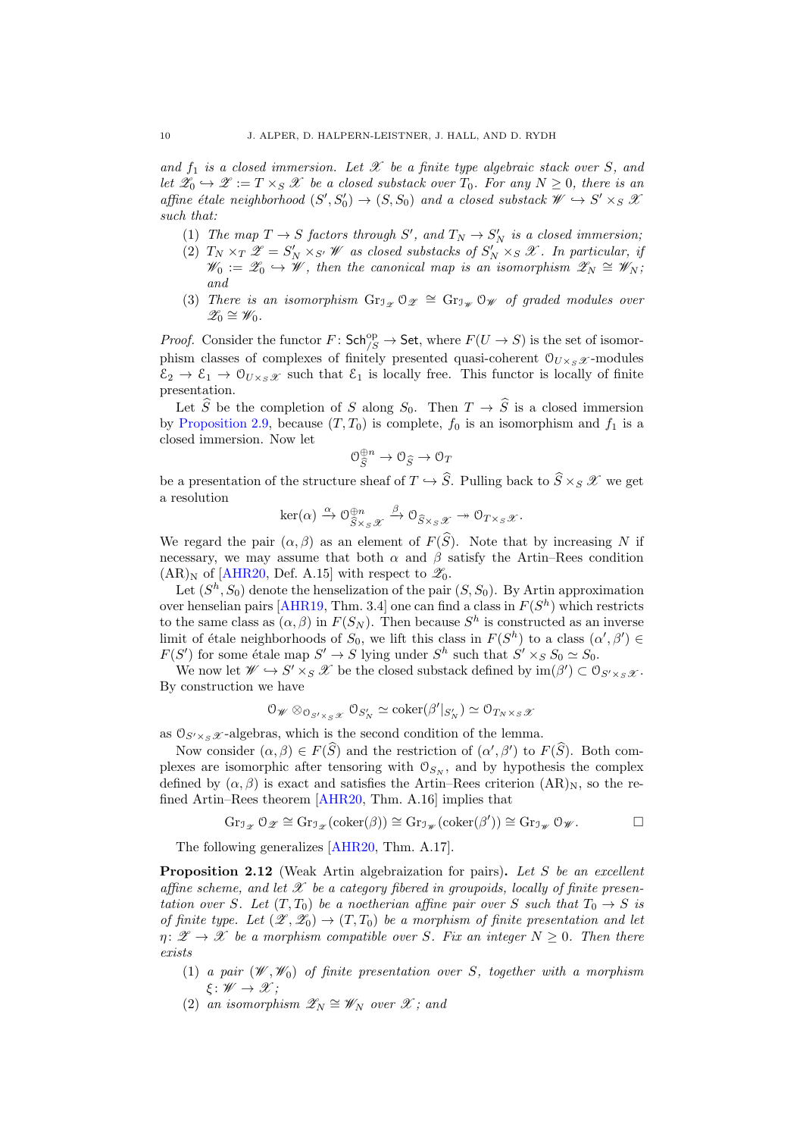and  $f_1$  is a closed immersion. Let  $\mathscr X$  be a finite type algebraic stack over S, and let  $\mathscr{Z}_0 \hookrightarrow \mathscr{Z} := T \times_S \mathscr{X}$  be a closed substack over  $T_0$ . For any  $N \geq 0$ , there is an affine étale neighborhood  $(S', S'_0) \to (S, S_0)$  and a closed substack  $\mathscr{W} \hookrightarrow S' \times_S \mathscr{X}$ such that:

- (1) The map  $T \to S$  factors through S', and  $T_N \to S'_N$  is a closed immersion;
- (2)  $T_N \times_T \mathscr{Z} = S'_N \times_{S'} \mathscr{W}$  as closed substacks of  $S'_N \times_S \mathscr{X}$ . In particular, if  $\mathscr{W}_0 := \mathscr{Z}_0 \hookrightarrow \mathscr{W}$ , then the canonical map is an isomorphism  $\mathscr{Z}_N \cong \mathscr{W}_N$ ; and
- (3) There is an isomorphism  $\text{Gr}_{\mathcal{I}_{\mathscr{Z}}} \mathcal{O}_{\mathscr{Z}} \cong \text{Gr}_{\mathcal{I}_{\mathscr{W}}} \mathcal{O}_{\mathscr{W}}$  of graded modules over  $\mathscr{Z}_0 \cong \mathscr{W}_0.$

*Proof.* Consider the functor  $F: \mathsf{Sch}_{/S}^{\rm op} \to \mathsf{Set}$ , where  $F(U \to S)$  is the set of isomorphism classes of complexes of finitely presented quasi-coherent  $\mathcal{O}_{U\times S\mathcal{X}}$ -modules  $\mathcal{E}_2 \to \mathcal{E}_1 \to \mathcal{O}_{U \times_S \mathcal{X}}$  such that  $\mathcal{E}_1$  is locally free. This functor is locally of finite presentation.

Let  $\hat{S}$  be the completion of S along  $S_0$ . Then  $T \to \hat{S}$  is a closed immersion by [Proposition 2.9,](#page-8-0) because  $(T, T_0)$  is complete,  $f_0$  is an isomorphism and  $f_1$  is a closed immersion. Now let

$$
\mathcal{O}_{\widehat{S}}^{\oplus n} \to \mathcal{O}_{\widehat{S}} \to \mathcal{O}_T
$$

be a presentation of the structure sheaf of  $T \hookrightarrow \widehat{S}$ . Pulling back to  $\widehat{S} \times_S \mathscr{X}$  we get a resolution

$$
\ker(\alpha) \xrightarrow{\alpha} \mathcal{O}_{\widehat{S}\times_S\mathscr{X}}^{\oplus n} \xrightarrow{\beta} \mathcal{O}_{\widehat{S}\times_S\mathscr{X}} \twoheadrightarrow \mathcal{O}_{T\times_S\mathscr{X}}.
$$

We regard the pair  $(\alpha, \beta)$  as an element of  $F(\widehat{S})$ . Note that by increasing N if necessary, we may assume that both  $\alpha$  and  $\beta$  satisfy the Artin–Rees condition  $(AR)_N$  of [\[AHR20,](#page-24-2) Def. A.15] with respect to  $\mathscr{Z}_0$ .

Let  $(S<sup>h</sup>, S<sub>0</sub>)$  denote the henselization of the pair  $(S, S<sub>0</sub>)$ . By Artin approximation over henselian pairs [\[AHR19,](#page-24-4) Thm. 3.4] one can find a class in  $F(S<sup>h</sup>)$  which restricts to the same class as  $(\alpha, \beta)$  in  $F(S_N)$ . Then because  $S<sup>h</sup>$  is constructed as an inverse limit of étale neighborhoods of  $S_0$ , we lift this class in  $F(S^h)$  to a class  $(\alpha', \beta') \in$  $F(S')$  for some étale map  $S' \to S$  lying under  $S<sup>h</sup>$  such that  $S' \times_S S_0 \simeq S_0$ .

We now let  $\mathscr{W} \hookrightarrow S' \times_S \mathscr{X}$  be the closed substack defined by  $\text{im}(\beta') \subset \mathcal{O}_{S' \times_S \mathscr{X}}$ . By construction we have

$$
0_{\mathscr{W}} \otimes_{\mathcal{O}_{S' \times_S \mathscr{X}}} \mathcal{O}_{S'_N} \simeq \mathrm{coker}(\beta'|_{S'_N}) \simeq \mathcal{O}_{T_N \times_S \mathscr{X}}
$$

as  $\mathcal{O}_{S' \times S} \mathscr{X}$ -algebras, which is the second condition of the lemma.

Now consider  $(\alpha, \beta) \in F(\widehat{S})$  and the restriction of  $(\alpha', \beta')$  to  $F(\widehat{S})$ . Both complexes are isomorphic after tensoring with  $\mathcal{O}_{S_N}$ , and by hypothesis the complex defined by  $(\alpha, \beta)$  is exact and satisfies the Artin–Rees criterion  $(AR)_N$ , so the refined Artin–Rees theorem [\[AHR20,](#page-24-2) Thm. A.16] implies that

$$
\operatorname{Gr}_{\mathfrak I_{\mathscr Z}}\mathfrak O_{\mathscr Z}\cong \operatorname{Gr}_{\mathfrak I_{\mathscr Z}}(\operatorname{coker}(\beta))\cong \operatorname{Gr}_{\mathfrak I_{\mathscr W}}(\operatorname{coker}(\beta'))\cong \operatorname{Gr}_{\mathfrak I_{\mathscr W}}\mathfrak O_{\mathscr W}.
$$

<span id="page-9-0"></span>The following generalizes [\[AHR20,](#page-24-2) Thm. A.17].

**Proposition 2.12** (Weak Artin algebraization for pairs). Let S be an excellent affine scheme, and let  $\mathscr X$  be a category fibered in groupoids, locally of finite presentation over S. Let  $(T, T_0)$  be a noetherian affine pair over S such that  $T_0 \rightarrow S$  is of finite type. Let  $(\mathscr{Z}, \mathscr{Z}_0) \to (T, T_0)$  be a morphism of finite presentation and let  $\eta: \mathscr{Z} \to \mathscr{X}$  be a morphism compatible over S. Fix an integer  $N \geq 0$ . Then there exists

- (1) a pair  $(\mathscr{W}, \mathscr{W}_0)$  of finite presentation over S, together with a morphism  $\xi: \mathscr{W} \to \mathscr{X}$ :
- (2) an isomorphism  $\mathscr{Z}_N \cong \mathscr{W}_N$  over  $\mathscr{X}$ ; and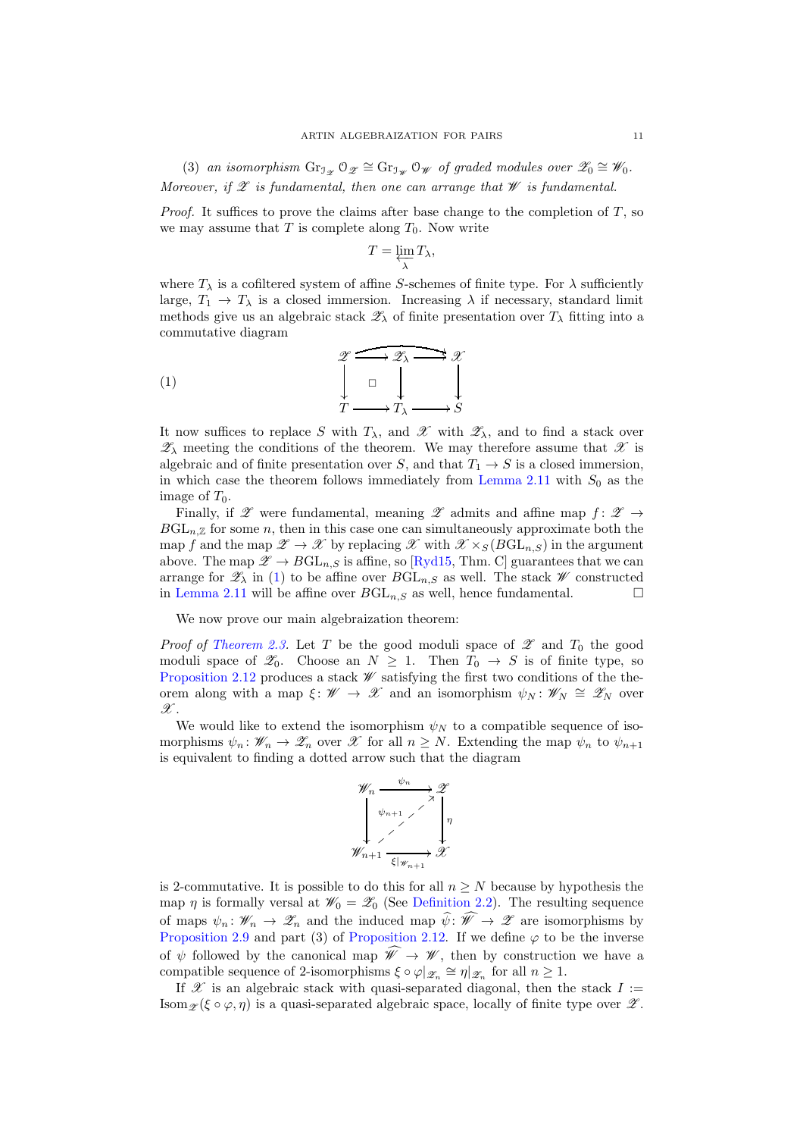(3) an isomorphism  $\text{Gr}_{\mathfrak{I}_{\mathscr{Z}}} \mathfrak{O}_{\mathscr{Z}} \cong \text{Gr}_{\mathfrak{I}_{\mathscr{W}}} \mathfrak{O}_{\mathscr{W}}$  of graded modules over  $\mathscr{Z}_0 \cong \mathscr{W}_0$ . Moreover, if  $\mathscr E$  is fundamental, then one can arrange that  $\mathscr W$  is fundamental.

*Proof.* It suffices to prove the claims after base change to the completion of  $T$ , so we may assume that  $T$  is complete along  $T_0$ . Now write

<span id="page-10-0"></span>
$$
T=\varprojlim_{\lambda}T_{\lambda},
$$

where  $T_{\lambda}$  is a cofiltered system of affine S-schemes of finite type. For  $\lambda$  sufficiently large,  $T_1 \rightarrow T_\lambda$  is a closed immersion. Increasing  $\lambda$  if necessary, standard limit methods give us an algebraic stack  $\mathscr{Z}_{\lambda}$  of finite presentation over  $T_{\lambda}$  fitting into a commutative diagram

$$
\begin{array}{ccc}\n\mathscr{Z} & \xrightarrow{\mathscr{Z}_{\lambda}} \mathscr{Z} \\
\downarrow & \downarrow & \downarrow \\
\downarrow & \downarrow & \downarrow \\
T & \xrightarrow{T_{\lambda}} \mathscr{Z}_{\lambda} & \xrightarrow{S}\n\end{array}
$$

It now suffices to replace S with  $T_{\lambda}$ , and X with  $\mathscr{Z}_{\lambda}$ , and to find a stack over  $\mathscr{Z}_{\lambda}$  meeting the conditions of the theorem. We may therefore assume that  $\mathscr{X}$  is algebraic and of finite presentation over S, and that  $T_1 \rightarrow S$  is a closed immersion, in which case the theorem follows immediately from [Lemma 2.11](#page-8-4) with  $S_0$  as the image of  $T_0$ .

Finally, if  $\mathscr Z$  were fundamental, meaning  $\mathscr Z$  admits and affine map  $f: \mathscr Z \to$  $BGL_{n,\mathbb{Z}}$  for some n, then in this case one can simultaneously approximate both the map f and the map  $\mathscr{Z} \to \mathscr{X}$  by replacing  $\mathscr{X}$  with  $\mathscr{X} \times_S (BGL_n, S)$  in the argument above. The map  $\mathscr{Z} \to B\mathrm{GL}_{n,S}$  is affine, so [\[Ryd15,](#page-25-6) Thm. C] guarantees that we can arrange for  $\mathscr{Z}_{\lambda}$  in [\(1\)](#page-10-0) to be affine over  $BGL_{n,S}$  as well. The stack  $\mathscr{W}$  constructed in [Lemma 2.11](#page-8-4) will be affine over  $BGL_{n,S}$  as well, hence fundamental.

We now prove our main algebraization theorem:

*Proof of [Theorem 2.3.](#page-6-0)* Let T be the good moduli space of  $\mathscr Z$  and  $T_0$  the good moduli space of  $\mathscr{Z}_0$ . Choose an  $N \geq 1$ . Then  $T_0 \to S$  is of finite type, so [Proposition 2.12](#page-9-0) produces a stack  $\mathscr W$  satisfying the first two conditions of the theorem along with a map  $\xi: \mathscr{W} \to \mathscr{X}$  and an isomorphism  $\psi_N: \mathscr{W}_N \cong \mathscr{Z}_N$  over  $\mathscr X.$ 

We would like to extend the isomorphism  $\psi_N$  to a compatible sequence of isomorphisms  $\psi_n : \mathscr{W}_n \to \mathscr{Z}_n$  over  $\mathscr{X}$  for all  $n \geq N$ . Extending the map  $\psi_n$  to  $\psi_{n+1}$ is equivalent to finding a dotted arrow such that the diagram



is 2-commutative. It is possible to do this for all  $n \geq N$  because by hypothesis the map  $\eta$  is formally versal at  $\mathscr{W}_0 = \mathscr{Z}_0$  (See [Definition 2.2\)](#page-6-2). The resulting sequence of maps  $\psi_n: \mathscr{W}_n \to \mathscr{Z}_n$  and the induced map  $\hat{\psi}: \hat{\mathscr{W}} \to \mathscr{Z}$  are isomorphisms by [Proposition 2.9](#page-8-0) and part (3) of [Proposition 2.12.](#page-9-0) If we define  $\varphi$  to be the inverse of  $\psi$  followed by the canonical map  $\widehat{\mathscr{W}} \to \mathscr{W}$ , then by construction we have a compatible sequence of 2-isomorphisms  $\xi \circ \varphi |_{\mathscr{Z}_n} \cong \eta |_{\mathscr{Z}_n}$  for all  $n \geq 1$ .

If  $\mathscr X$  is an algebraic stack with quasi-separated diagonal, then the stack  $I :=$ Isom  $\mathscr{L}(\xi \circ \varphi, \eta)$  is a quasi-separated algebraic space, locally of finite type over  $\mathscr{L}$ .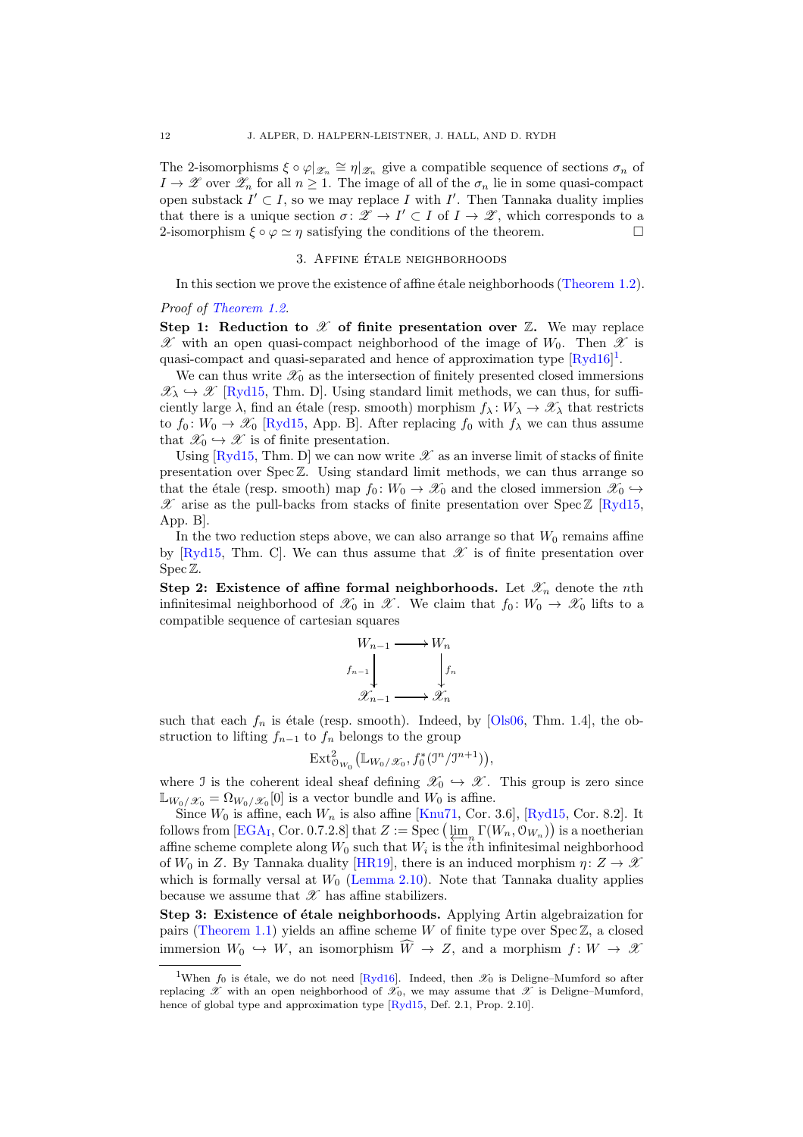The 2-isomorphisms  $\xi \circ \varphi |_{\mathscr{Z}_n} \cong \eta |_{\mathscr{Z}_n}$  give a compatible sequence of sections  $\sigma_n$  of  $I \to \mathscr{Z}$  over  $\mathscr{Z}_n$  for all  $n \geq 1$ . The image of all of the  $\sigma_n$  lie in some quasi-compact open substack  $I' \subset I$ , so we may replace I with I'. Then Tannaka duality implies that there is a unique section  $\sigma: \mathscr{Z} \to I' \subset I$  of  $I \to \mathscr{Z}$ , which corresponds to a 2-isomorphism  $\xi \circ \varphi \simeq n$  satisfying the conditions of the theorem.

# 3. AFFINE ÉTALE NEIGHBORHOODS

In this section we prove the existence of affine  $\acute{e}$ tale neighborhoods [\(Theorem 1.2\)](#page-0-1).

#### Proof of [Theorem 1.2.](#page-0-1)

Step 1: Reduction to  $\mathscr X$  of finite presentation over  $\mathbb Z$ . We may replace  $\mathscr X$  with an open quasi-compact neighborhood of the image of  $W_0$ . Then  $\mathscr X$  is quasi-compact and quasi-separated and hence of approximation type  $[\text{Ryd16}]^1$  $[\text{Ryd16}]^1$  $[\text{Ryd16}]^1$ .

We can thus write  $\mathscr{X}_0$  as the intersection of finitely presented closed immersions  $\mathscr{X}_{\lambda} \hookrightarrow \mathscr{X}$  [\[Ryd15,](#page-25-6) Thm. D]. Using standard limit methods, we can thus, for sufficiently large  $\lambda$ , find an étale (resp. smooth) morphism  $f_\lambda : W_\lambda \to \mathscr{X}_\lambda$  that restricts to  $f_0: W_0 \to \mathscr{X}_0$  [\[Ryd15,](#page-25-6) App. B]. After replacing  $f_0$  with  $f_\lambda$  we can thus assume that  $\mathscr{X}_0 \hookrightarrow \mathscr{X}$  is of finite presentation.

Using  $[\text{Ryd15}, \text{Thm}].$  D we can now write  $\mathscr X$  as an inverse limit of stacks of finite presentation over  $Spec \mathbb{Z}$ . Using standard limit methods, we can thus arrange so that the étale (resp. smooth) map  $f_0 : W_0 \to \mathcal{X}_0$  and the closed immersion  $\mathcal{X}_0 \hookrightarrow$  $\mathscr X$  arise as the pull-backs from stacks of finite presentation over Spec  $\mathbb Z$  [\[Ryd15,](#page-25-6) App. B].

In the two reduction steps above, we can also arrange so that  $W_0$  remains affine by [\[Ryd15,](#page-25-6) Thm. C]. We can thus assume that  $\mathscr X$  is of finite presentation over Spec Z.

Step 2: Existence of affine formal neighborhoods. Let  $\mathscr{X}_n$  denote the nth infinitesimal neighborhood of  $\mathscr{X}_0$  in  $\mathscr{X}$ . We claim that  $f_0: W_0 \to \mathscr{X}_0$  lifts to a compatible sequence of cartesian squares

$$
\begin{array}{ccc}\n W_{n-1} & \longrightarrow & W_n \\
 f_{n-1} & & \downarrow \\
 & & \downarrow \\
 & & \mathcal{X}_{n-1} & \longrightarrow & \mathcal{X}_n\n \end{array}
$$

such that each  $f_n$  is étale (resp. smooth). Indeed, by [\[Ols06,](#page-25-8) Thm. 1.4], the obstruction to lifting  $f_{n-1}$  to  $f_n$  belongs to the group

$$
\mathrm{Ext}^2_{\mathcal{O}_{W_0}}\big(\mathbb{L}_{W_0/\mathscr{X}_0}, f_0^*(\mathfrak{I}^n/\mathfrak{I}^{n+1})\big),
$$

where J is the coherent ideal sheaf defining  $\mathscr{X}_0 \hookrightarrow \mathscr{X}$ . This group is zero since  $\mathbb{L}_{W_0/\mathscr{X}_0} = \Omega_{W_0/\mathscr{X}_0}[0]$  is a vector bundle and  $W_0$  is affine.

Since  $W_0$  is affine, each  $W_n$  is also affine [\[Knu71,](#page-24-16) Cor. 3.6], [\[Ryd15,](#page-25-6) Cor. 8.2]. It follows from  $[\text{EGA}_1, \text{Cor. 0.7.2.8}]$  that  $Z := \text{Spec} \left( \varprojlim_n \Gamma(W_n, \mathbb{O}_{W_n}) \right)$  is a noetherian affine scheme complete along  $W_0$  such that  $W_i$  is the *i*th infinitesimal neighborhood of  $W_0$  in Z. By Tannaka duality [\[HR19\]](#page-24-15), there is an induced morphism  $\eta: Z \to \mathcal{X}$ which is formally versal at  $W_0$  [\(Lemma 2.10\)](#page-8-1). Note that Tannaka duality applies because we assume that  $\mathscr X$  has affine stabilizers.

Step 3: Existence of étale neighborhoods. Applying Artin algebraization for pairs [\(Theorem 1.1\)](#page-0-0) yields an affine scheme W of finite type over  $Spec\ Z$ , a closed immersion  $W_0 \hookrightarrow W$ , an isomorphism  $\widehat{W} \to Z$ , and a morphism  $f: W \to \mathcal{X}$ 

<span id="page-11-0"></span><sup>&</sup>lt;sup>1</sup>When  $f_0$  is étale, we do not need [\[Ryd16\]](#page-25-7). Indeed, then  $\mathscr{X}_0$  is Deligne–Mumford so after replacing X with an open neighborhood of  $\mathcal{X}_0$ , we may assume that X is Deligne–Mumford, hence of global type and approximation type [\[Ryd15,](#page-25-6) Def. 2.1, Prop. 2.10].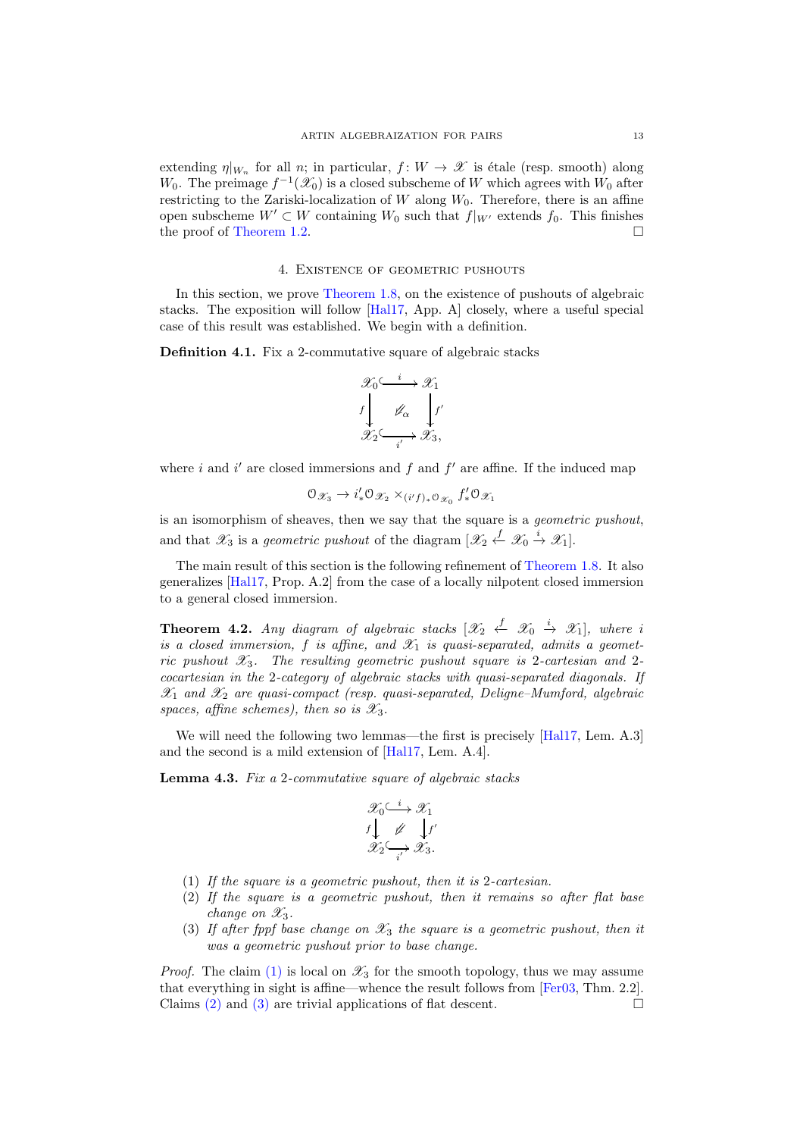extending  $\eta|_{W_n}$  for all n; in particular,  $f: W \to \mathscr{X}$  is étale (resp. smooth) along W<sub>0</sub>. The preimage  $f^{-1}(\mathscr{X}_0)$  is a closed subscheme of W which agrees with W<sub>0</sub> after restricting to the Zariski-localization of  $W$  along  $W_0$ . Therefore, there is an affine open subscheme  $W' \subset W$  containing  $W_0$  such that  $f|_{W'}$  extends  $f_0$ . This finishes the proof of [Theorem 1.2.](#page-0-1)

#### 4. Existence of geometric pushouts

In this section, we prove [Theorem 1.8,](#page-3-0) on the existence of pushouts of algebraic stacks. The exposition will follow [\[Hal17,](#page-24-18) App. A] closely, where a useful special case of this result was established. We begin with a definition.

**Definition 4.1.** Fix a 2-commutative square of algebraic stacks



where i and i' are closed immersions and  $f$  and  $f'$  are affine. If the induced map

$$
\mathcal{O}_{\mathscr{X}_3} \to i'_* \mathcal{O}_{\mathscr{X}_2} \times_{(i'f)_* \mathcal{O}_{\mathscr{X}_0}} f'_* \mathcal{O}_{\mathscr{X}_1}
$$

is an isomorphism of sheaves, then we say that the square is a geometric pushout, and that  $\mathscr{X}_3$  is a *geometric pushout* of the diagram  $[\mathscr{X}_2 \stackrel{f}{\leftarrow} \mathscr{X}_0 \stackrel{i}{\rightarrow} \mathscr{X}_1].$ 

The main result of this section is the following refinement of [Theorem 1.8.](#page-3-0) It also generalizes [\[Hal17,](#page-24-18) Prop. A.2] from the case of a locally nilpotent closed immersion to a general closed immersion.

<span id="page-12-5"></span>**Theorem 4.2.** Any diagram of algebraic stacks  $[\mathscr{X}_2 \stackrel{f}{\leftarrow} \mathscr{X}_0 \stackrel{i}{\rightarrow} \mathscr{X}_1]$ , where i is a closed immersion, f is affine, and  $\mathscr{X}_1$  is quasi-separated, admits a geometric pushout  $\mathscr{X}_3$ . The resulting geometric pushout square is 2-cartesian and 2cocartesian in the 2-category of algebraic stacks with quasi-separated diagonals. If  $\mathscr{X}_1$  and  $\mathscr{X}_2$  are quasi-compact (resp. quasi-separated, Deligne–Mumford, algebraic spaces, affine schemes), then so is  $\mathscr{X}_3$ .

<span id="page-12-3"></span>We will need the following two lemmas—the first is precisely [\[Hal17,](#page-24-18) Lem. A.3] and the second is a mild extension of [\[Hal17,](#page-24-18) Lem. A.4].

Lemma 4.3. Fix a 2-commutative square of algebraic stacks

$$
\mathcal{X}_0 \xrightarrow{i} \mathcal{X}_1
$$
\n
$$
f \downarrow \qquad f'
$$
\n
$$
\mathcal{X}_2 \xrightarrow{i'} \mathcal{X}_3.
$$

- <span id="page-12-1"></span><span id="page-12-0"></span>(1) If the square is a geometric pushout, then it is 2-cartesian.
- (2) If the square is a geometric pushout, then it remains so after flat base change on  $\mathscr{X}_3$ .
- <span id="page-12-2"></span>(3) If after fppf base change on  $\mathscr{X}_3$  the square is a geometric pushout, then it was a geometric pushout prior to base change.

<span id="page-12-4"></span>*Proof.* The claim [\(1\)](#page-12-0) is local on  $\mathscr{X}_3$  for the smooth topology, thus we may assume that everything in sight is affine—whence the result follows from [\[Fer03,](#page-24-8) Thm. 2.2]. Claims [\(2\)](#page-12-1) and [\(3\)](#page-12-2) are trivial applications of flat descent.  $\square$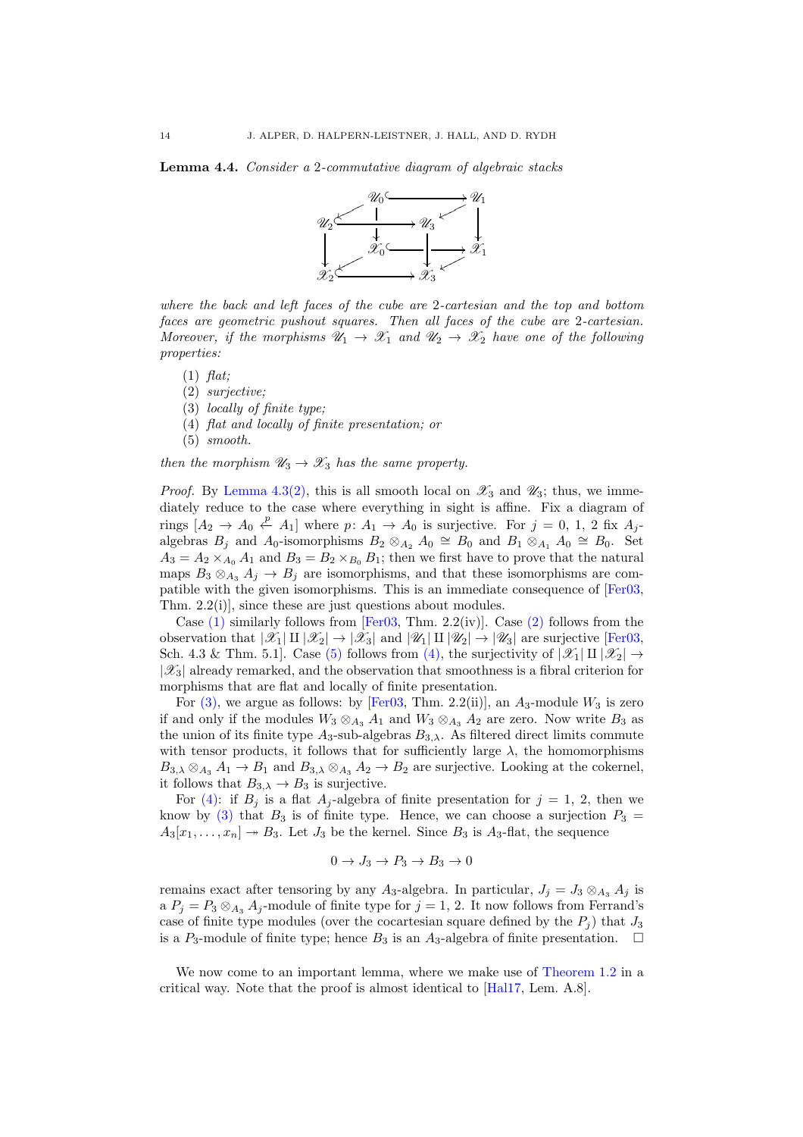Lemma 4.4. Consider a 2-commutative diagram of algebraic stacks



where the back and left faces of the cube are 2-cartesian and the top and bottom faces are geometric pushout squares. Then all faces of the cube are 2-cartesian. Moreover, if the morphisms  $\mathscr{U}_1 \to \mathscr{X}_1$  and  $\mathscr{U}_2 \to \mathscr{X}_2$  have one of the following properties:

- <span id="page-13-1"></span><span id="page-13-0"></span> $(1)$  flat;
- <span id="page-13-4"></span>(2) surjective;
- <span id="page-13-3"></span>(3) locally of finite type;
- <span id="page-13-2"></span>(4) flat and locally of finite presentation; or
- (5) smooth.

then the morphism  $\mathscr{U}_3 \to \mathscr{X}_3$  has the same property.

*Proof.* By [Lemma 4.3](#page-12-3)[\(2\),](#page-12-1) this is all smooth local on  $\mathscr{X}_3$  and  $\mathscr{U}_3$ ; thus, we immediately reduce to the case where everything in sight is affine. Fix a diagram of rings  $[A_2 \to A_0 \stackrel{p}{\leftarrow} A_1]$  where  $p: A_1 \to A_0$  is surjective. For  $j = 0, 1, 2$  fix  $A_j$ algebras  $B_j$  and  $A_0$ -isomorphisms  $B_2 \otimes_{A_2} A_0 \cong B_0$  and  $B_1 \otimes_{A_1} A_0 \cong B_0$ . Set  $A_3 = A_2 \times_{A_0} A_1$  and  $B_3 = B_2 \times_{B_0} B_1$ ; then we first have to prove that the natural maps  $B_3 \otimes_{A_3} A_j \rightarrow B_j$  are isomorphisms, and that these isomorphisms are compatible with the given isomorphisms. This is an immediate consequence of [\[Fer03,](#page-24-8) Thm. 2.2(i)], since these are just questions about modules.

Case  $(1)$  similarly follows from [\[Fer03,](#page-24-8) Thm. 2.2(iv)]. Case  $(2)$  follows from the observation that  $|\mathscr{X}_1| \amalg |\mathscr{X}_2| \to |\mathscr{X}_3|$  and  $|\mathscr{U}_1| \amalg |\mathscr{U}_2| \to |\mathscr{U}_3|$  are surjective [\[Fer03,](#page-24-8) Sch. 4.3 & Thm. 5.1]. Case [\(5\)](#page-13-2) follows from [\(4\),](#page-13-3) the surjectivity of  $|\mathscr{X}_1| \amalg |\mathscr{X}_2| \to$  $|\mathscr{X}_3|$  already remarked, and the observation that smoothness is a fibral criterion for morphisms that are flat and locally of finite presentation.

For  $(3)$ , we argue as follows: by [\[Fer03,](#page-24-8) Thm. 2.2(ii)], an  $A_3$ -module  $W_3$  is zero if and only if the modules  $W_3 \otimes_{A_3} A_1$  and  $W_3 \otimes_{A_3} A_2$  are zero. Now write  $B_3$  as the union of its finite type  $A_3$ -sub-algebras  $B_{3,\lambda}$ . As filtered direct limits commute with tensor products, it follows that for sufficiently large  $\lambda$ , the homomorphisms  $B_{3,\lambda} \otimes_{A_3} A_1 \to B_1$  and  $B_{3,\lambda} \otimes_{A_3} A_2 \to B_2$  are surjective. Looking at the cokernel, it follows that  $B_{3,\lambda} \to B_3$  is surjective.

For [\(4\):](#page-13-3) if  $B_j$  is a flat  $A_j$ -algebra of finite presentation for  $j = 1, 2$ , then we know by [\(3\)](#page-13-4) that  $B_3$  is of finite type. Hence, we can choose a surjection  $P_3$  =  $A_3[x_1, \ldots, x_n] \rightarrow B_3$ . Let  $J_3$  be the kernel. Since  $B_3$  is  $A_3$ -flat, the sequence

$$
0 \to J_3 \to P_3 \to B_3 \to 0
$$

remains exact after tensoring by any A<sub>3</sub>-algebra. In particular,  $J_j = J_3 \otimes_{A_3} A_j$  is a  $P_j = P_3 \otimes_{A_3} A_j$ -module of finite type for  $j = 1, 2$ . It now follows from Ferrand's case of finite type modules (over the cocartesian square defined by the  $P_i$ ) that  $J_3$ is a P<sub>3</sub>-module of finite type; hence  $B_3$  is an A<sub>3</sub>-algebra of finite presentation.  $\square$ 

<span id="page-13-5"></span>We now come to an important lemma, where we make use of [Theorem 1.2](#page-0-1) in a critical way. Note that the proof is almost identical to [\[Hal17,](#page-24-18) Lem. A.8].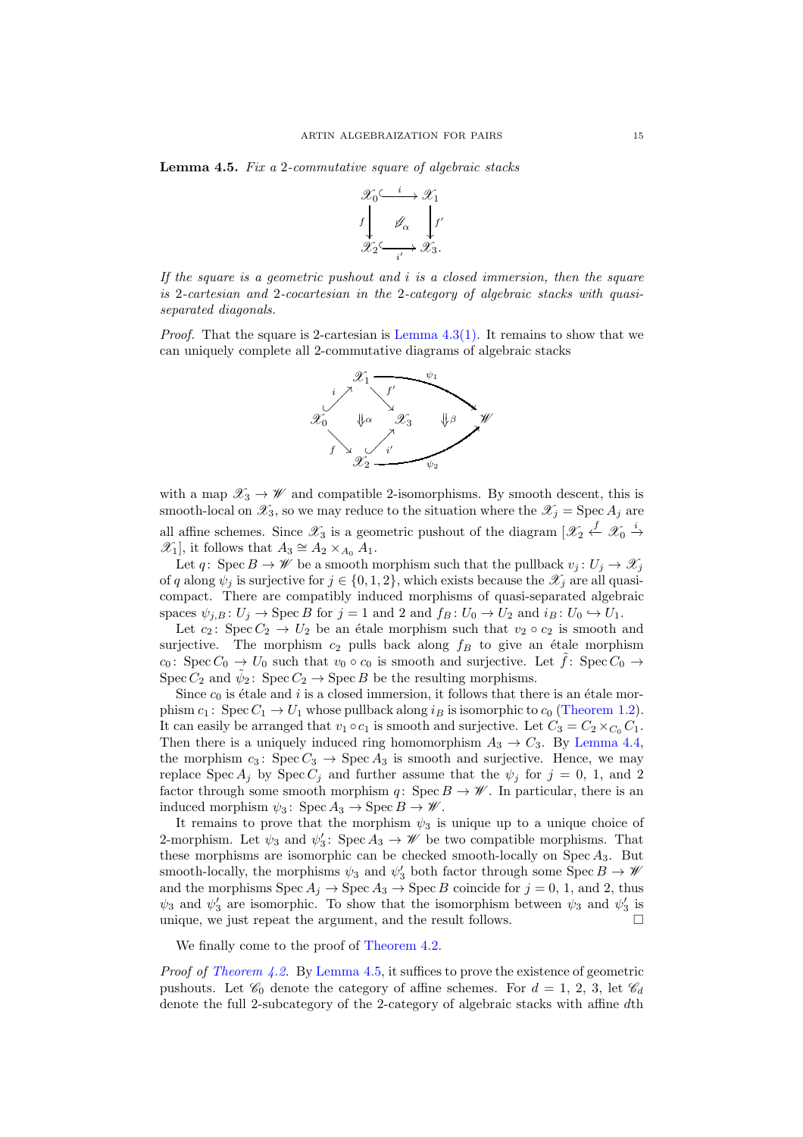Lemma 4.5. Fix a 2-commutative square of algebraic stacks



If the square is a geometric pushout and  $i$  is a closed immersion, then the square is 2-cartesian and 2-cocartesian in the 2-category of algebraic stacks with quasiseparated diagonals.

*Proof.* That the square is 2-cartesian is Lemma  $4.3(1)$ . It remains to show that we can uniquely complete all 2-commutative diagrams of algebraic stacks



with a map  $\mathscr{X}_3 \to \mathscr{W}$  and compatible 2-isomorphisms. By smooth descent, this is smooth-local on  $\mathscr{X}_3$ , so we may reduce to the situation where the  $\mathscr{X}_j = \operatorname{Spec} A_j$  are all affine schemes. Since  $\mathscr{X}_3$  is a geometric pushout of the diagram  $\lbrack \mathscr{X}_2 \stackrel{f}{\leftarrow} \mathscr{X}_0 \stackrel{i}{\rightarrow}$  $\mathscr{X}_1$ , it follows that  $A_3 \cong A_2 \times_{A_0} A_1$ .

Let q: Spec  $B \to \mathscr{W}$  be a smooth morphism such that the pullback  $v_j : U_j \to \mathscr{X}_j$ of q along  $\psi_j$  is surjective for  $j \in \{0, 1, 2\}$ , which exists because the  $\mathscr{X}_j$  are all quasicompact. There are compatibly induced morphisms of quasi-separated algebraic spaces  $\psi_{i,B} : U_j \to \text{Spec } B$  for  $j = 1$  and 2 and  $f_B : U_0 \to U_2$  and  $i_B : U_0 \to U_1$ .

Let  $c_2$ : Spec  $C_2 \rightarrow U_2$  be an étale morphism such that  $v_2 \circ c_2$  is smooth and surjective. The morphism  $c_2$  pulls back along  $f_B$  to give an étale morphism  $c_0$ : Spec  $C_0 \rightarrow U_0$  such that  $v_0 \circ c_0$  is smooth and surjective. Let  $f$ : Spec  $C_0 \rightarrow$ Spec  $C_2$  and  $\tilde{\psi}_2$ : Spec  $C_2 \rightarrow \text{Spec } B$  be the resulting morphisms.

Since  $c_0$  is étale and i is a closed immersion, it follows that there is an étale morphism  $c_1$ : Spec  $C_1 \rightarrow U_1$  whose pullback along  $i_B$  is isomorphic to  $c_0$  [\(Theorem 1.2\)](#page-0-1). It can easily be arranged that  $v_1 \circ c_1$  is smooth and surjective. Let  $C_3 = C_2 \times_{C_0} C_1$ . Then there is a uniquely induced ring homomorphism  $A_3 \rightarrow C_3$ . By [Lemma 4.4,](#page-12-4) the morphism  $c_3$ : Spec  $C_3 \rightarrow$  Spec  $A_3$  is smooth and surjective. Hence, we may replace Spec  $A_j$  by Spec  $C_j$  and further assume that the  $\psi_j$  for  $j = 0, 1,$  and 2 factor through some smooth morphism q: Spec  $B \to \mathscr{W}$ . In particular, there is an induced morphism  $\psi_3$ : Spec  $A_3 \to \text{Spec } B \to \mathscr{W}$ .

It remains to prove that the morphism  $\psi_3$  is unique up to a unique choice of 2-morphism. Let  $\psi_3$  and  $\psi'_3$ : Spec  $A_3 \to \mathscr{W}$  be two compatible morphisms. That these morphisms are isomorphic can be checked smooth-locally on  $Spec A_3$ . But smooth-locally, the morphisms  $\psi_3$  and  $\psi'_3$  both factor through some Spec  $B \to \mathscr{W}$ and the morphisms  $\text{Spec } A_j \to \text{Spec } A_3 \to \text{Spec } B$  coincide for  $j = 0, 1$ , and 2, thus  $\psi_3$  and  $\psi'_3$  are isomorphic. To show that the isomorphism between  $\psi_3$  and  $\psi'_3$  is unique, we just repeat the argument, and the result follows.  $\Box$ 

We finally come to the proof of [Theorem 4.2.](#page-12-5)

Proof of [Theorem 4.2.](#page-12-5) By [Lemma 4.5,](#page-13-5) it suffices to prove the existence of geometric pushouts. Let  $\mathcal{C}_0$  denote the category of affine schemes. For  $d = 1, 2, 3$ , let  $\mathcal{C}_d$ denote the full 2-subcategory of the 2-category of algebraic stacks with affine dth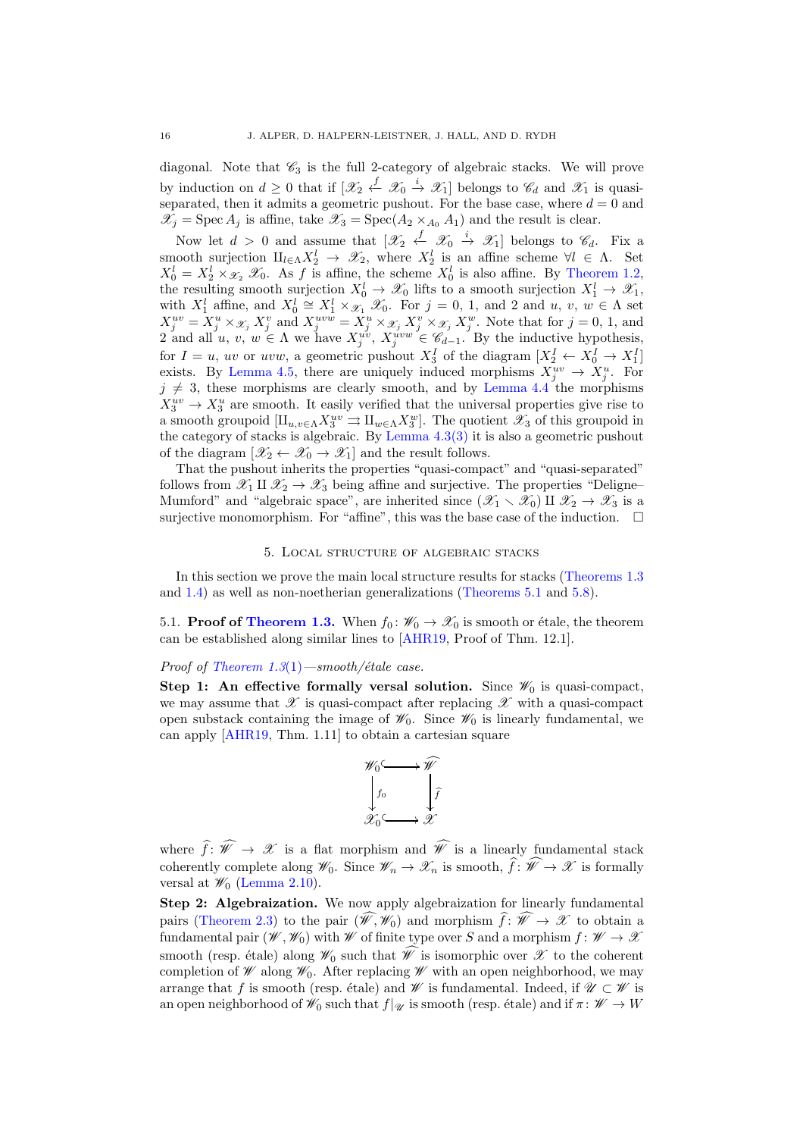diagonal. Note that  $\mathcal{C}_3$  is the full 2-category of algebraic stacks. We will prove by induction on  $d \geq 0$  that if  $[\mathscr{X}_2 \stackrel{f}{\leftarrow} \mathscr{X}_0 \stackrel{i}{\rightarrow} \mathscr{X}_1]$  belongs to  $\mathscr{C}_d$  and  $\mathscr{X}_1$  is quasiseparated, then it admits a geometric pushout. For the base case, where  $d = 0$  and  $\mathscr{X}_j = \operatorname{Spec} A_j$  is affine, take  $\mathscr{X}_3 = \operatorname{Spec}(A_2 \times_{A_0} A_1)$  and the result is clear.

Now let  $d > 0$  and assume that  $[\mathscr{X}_2 \stackrel{f}{\leftarrow} \mathscr{X}_0 \stackrel{i}{\rightarrow} \mathscr{X}_1]$  belongs to  $\mathscr{C}_d$ . Fix a smooth surjection  $\amalg_{l\in\Lambda} X_2^l \to \mathscr{X}_2$ , where  $X_2^l$  is an affine scheme  $\forall l \in \Lambda$ . Set  $X_0^l = X_2^l \times \mathcal{X}_2 \mathcal{X}_0$ . As f is affine, the scheme  $X_0^l$  is also affine. By [Theorem 1.2,](#page-0-1) the resulting smooth surjection  $X_0^l \to \mathscr{X}_0$  lifts to a smooth surjection  $X_1^l \to \mathscr{X}_1$ , with  $X_1^l$  affine, and  $X_0^l \cong X_1^l \times_{\mathcal{X}_1} \mathcal{X}_0$ . For  $j = 0, 1$ , and 2 and u, v,  $w \in \Lambda$  set  $X_j^{uv} = X_j^u \times \mathcal{X}_j$   $X_j^v$  and  $X_j^{uvw} = X_j^u \times \mathcal{X}_j$   $X_j^v \times \mathcal{X}_j$   $X_j^w$ . Note that for  $j = 0, 1$ , and 2 and all  $u, v, w \in \Lambda$  we have  $X_j^{u,v}, X_j^{uvw} \in \mathscr{C}_{d-1}$ . By the inductive hypothesis, for  $I = u$ , uv or uvw, a geometric pushout  $X_3^I$  of the diagram  $[X_2^I \leftarrow X_0^I \rightarrow X_1^I]$ exists. By [Lemma 4.5,](#page-13-5) there are uniquely induced morphisms  $X_j^{uv} \to X_j^u$ . For  $j \neq 3$ , these morphisms are clearly smooth, and by [Lemma 4.4](#page-12-4) the morphisms  $X_3^{uv} \to X_3^u$  are smooth. It easily verified that the universal properties give rise to a smooth groupoid  $[\amalg_{u,v\in\Lambda} X_3^{uv} \rightrightarrows \amalg_{w\in\Lambda} X_3^{w}].$  The quotient  $\mathscr{X}_3$  of this groupoid in the category of stacks is algebraic. By Lemma  $4.3(3)$  $4.3(3)$  it is also a geometric pushout of the diagram  $[\mathscr{X}_2 \leftarrow \mathscr{X}_0 \rightarrow \mathscr{X}_1]$  and the result follows.

That the pushout inherits the properties "quasi-compact" and "quasi-separated" follows from  $\mathscr{X}_1 \amalg \mathscr{X}_2 \to \mathscr{X}_3$  being affine and surjective. The properties "Deligne-Mumford" and "algebraic space", are inherited since  $(\mathscr{X}_1 \setminus \mathscr{X}_0)$  II  $\mathscr{X}_2 \to \mathscr{X}_3$  is a surjective monomorphism. For "affine", this was the base case of the induction.  $\Box$ 

#### 5. Local structure of algebraic stacks

In this section we prove the main local structure results for stacks [\(Theorems 1.3](#page-1-0) and [1.4\)](#page-2-2) as well as non-noetherian generalizations [\(Theorems 5.1](#page-17-0) and [5.8\)](#page-19-0).

5.1. **Proof of [Theorem 1.3.](#page-1-0)** When  $f_0: \mathcal{W}_0 \to \mathcal{X}_0$  is smooth or étale, the theorem can be established along similar lines to [\[AHR19,](#page-24-4) Proof of Thm. 12.1].

#### Proof of Theorem  $1.3(1)$  $1.3(1)$  —smooth/étale case.

Step 1: An effective formally versal solution. Since  $\mathcal{W}_0$  is quasi-compact, we may assume that  $\mathscr X$  is quasi-compact after replacing  $\mathscr X$  with a quasi-compact open substack containing the image of  $\mathscr{W}_0$ . Since  $\mathscr{W}_0$  is linearly fundamental, we can apply [\[AHR19,](#page-24-4) Thm. 1.11] to obtain a cartesian square



where  $\widehat{f}: \widehat{W} \to \mathscr{X}$  is a flat morphism and  $\widehat{W}$  is a linearly fundamental stack coherently complete along  $\mathscr{W}_0$ . Since  $\mathscr{W}_n \to \mathscr{X}_n$  is smooth,  $\widehat{f}: \widehat{\mathscr{W}} \to \mathscr{X}$  is formally versal at  $\mathscr{W}_0$  [\(Lemma 2.10\)](#page-8-1).

Step 2: Algebraization. We now apply algebraization for linearly fundamental pairs [\(Theorem 2.3\)](#page-6-0) to the pair  $(\hat{\mathscr{W}}, \mathscr{W}_0)$  and morphism  $\hat{f}: \hat{\mathscr{W}} \to \mathscr{X}$  to obtain a fundamental pair  $(\mathscr{W}, \mathscr{W}_0)$  with W of finite type over S and a morphism  $f : \mathscr{W} \to \mathscr{X}$ smooth (resp. étale) along  $\mathscr{W}_0$  such that  $\widehat{\mathscr{W}}$  is isomorphic over  $\mathscr{X}$  to the coherent completion of  $\mathscr W$  along  $\mathscr W_0$ . After replacing  $\mathscr W$  with an open neighborhood, we may arrange that f is smooth (resp. étale) and W is fundamental. Indeed, if  $\mathcal{U} \subset \mathcal{W}$  is an open neighborhood of  $\mathscr{W}_0$  such that  $f|_{\mathscr{U}}$  is smooth (resp. étale) and if  $\pi: \mathscr{W} \to W$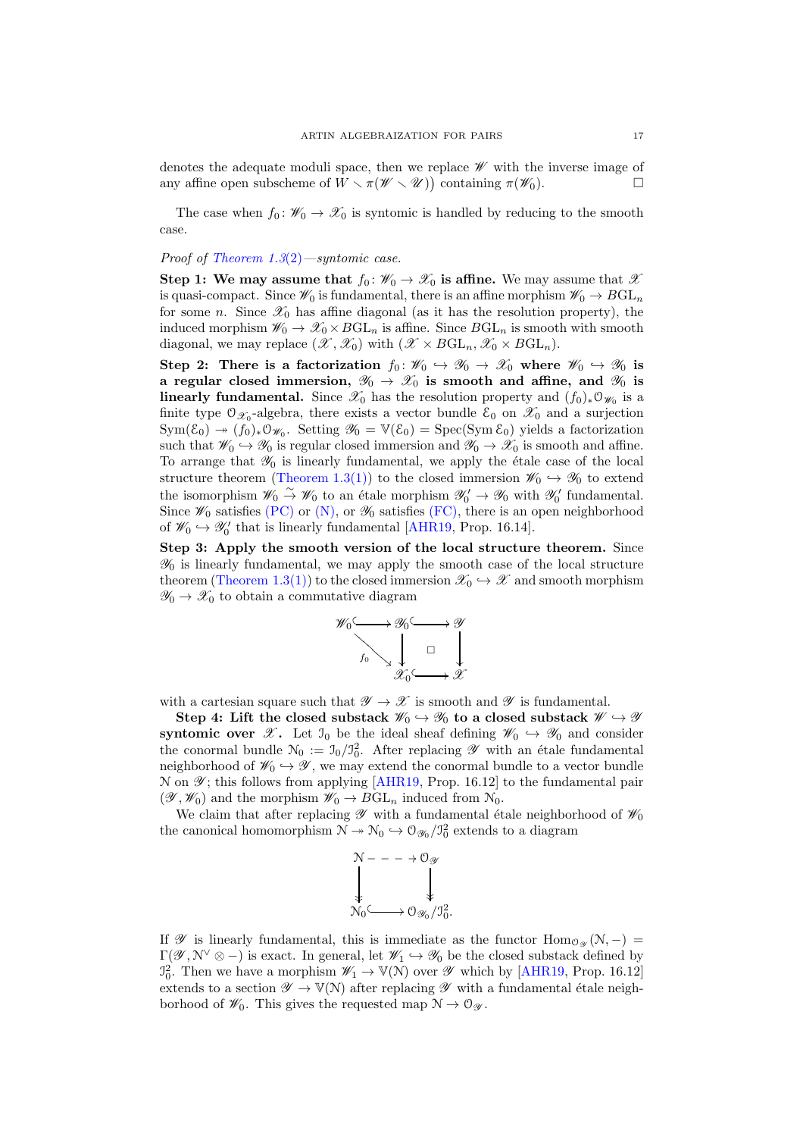denotes the adequate moduli space, then we replace W with the inverse image of any affine open subscheme of  $W \setminus \pi(W \setminus \mathcal{U})$  containing  $\pi(\mathcal{W}_0)$ .

The case when  $f_0 \colon \mathscr{W}_0 \to \mathscr{X}_0$  is syntomic is handled by reducing to the smooth case.

# Proof of Theorem  $1.3(2)$  $1.3(2)$ —syntomic case.

Step 1: We may assume that  $f_0: \mathscr{W}_0 \to \mathscr{X}_0$  is affine. We may assume that  $\mathscr{X}$ is quasi-compact. Since  $\mathscr{W}_0$  is fundamental, there is an affine morphism  $\mathscr{W}_0 \to BGL_n$ for some n. Since  $\mathscr{X}_0$  has affine diagonal (as it has the resolution property), the induced morphism  $\mathscr{W}_0 \to \mathscr{X}_0 \times BGL_n$  is affine. Since  $BGL_n$  is smooth with smooth diagonal, we may replace  $(\mathscr{X}, \mathscr{X}_0)$  with  $(\mathscr{X} \times BGL_n, \mathscr{X}_0 \times BGL_n)$ .

Step 2: There is a factorization  $f_0: \mathscr{W}_0 \to \mathscr{X}_0 \to \mathscr{X}_0$  where  $\mathscr{W}_0 \to \mathscr{Y}_0$  is a regular closed immersion,  $\mathscr{Y}_0 \to \mathscr{X}_0$  is smooth and affine, and  $\mathscr{Y}_0$  is linearly fundamental. Since  $\mathscr{X}_0$  has the resolution property and  $(f_0)_*\mathcal{O}_{\mathscr{W}_0}$  is a finite type  $\mathfrak{O}_{\mathscr{X}_0}$ -algebra, there exists a vector bundle  $\mathcal{E}_0$  on  $\mathscr{X}_0$  and a surjection  $Sym(\mathcal{E}_0) \to (f_0)_*\mathfrak{O}_{\mathscr{W}_0}$ . Setting  $\mathscr{Y}_0 = \mathbb{V}(\mathcal{E}_0) = Spec(Sym \mathcal{E}_0)$  yields a factorization such that  $\mathscr{W}_0 \hookrightarrow \mathscr{Y}_0$  is regular closed immersion and  $\mathscr{Y}_0 \to \mathscr{X}_0$  is smooth and affine. To arrange that  $\mathcal{Y}_0$  is linearly fundamental, we apply the étale case of the local structure theorem [\(Theorem 1.3](#page-1-0)[\(1\)\)](#page-1-4) to the closed immersion  $\mathscr{W}_0 \hookrightarrow \mathscr{Y}_0$  to extend the isomorphism  $\mathscr{W}_0 \overset{\sim}{\to} \mathscr{W}_0$  to an étale morphism  $\mathscr{Y}'_0 \to \mathscr{Y}_0$  with  $\mathscr{Y}'_0$  fundamental. Since  $\mathscr{W}_0$  satisfies [\(PC\)](#page-1-1) or [\(N\),](#page-1-2) or  $\mathscr{Y}_0$  satisfies [\(FC\),](#page-1-3) there is an open neighborhood of  $\mathscr{W}_0 \hookrightarrow \mathscr{Y}'_0$  that is linearly fundamental [\[AHR19,](#page-24-4) Prop. 16.14].

Step 3: Apply the smooth version of the local structure theorem. Since  $\mathcal{Y}_0$  is linearly fundamental, we may apply the smooth case of the local structure theorem [\(Theorem 1.3](#page-1-0)[\(1\)\)](#page-1-4) to the closed immersion  $\mathscr{X}_0 \hookrightarrow \mathscr{X}$  and smooth morphism  $\mathscr{Y}_0 \to \mathscr{X}_0$  to obtain a commutative diagram



with a cartesian square such that  $\mathscr{Y} \to \mathscr{X}$  is smooth and  $\mathscr{Y}$  is fundamental.

Step 4: Lift the closed substack  $\mathcal{W}_0 \hookrightarrow \mathcal{Y}_0$  to a closed substack  $\mathcal{W} \hookrightarrow \mathcal{Y}$ syntomic over  $\mathscr{X}$ . Let  $\mathfrak{I}_0$  be the ideal sheaf defining  $\mathscr{W}_0 \hookrightarrow \mathscr{Y}_0$  and consider the conormal bundle  $\mathcal{N}_0 := \mathcal{I}_0/\mathcal{I}_0^2$ . After replacing  $\mathscr Y$  with an étale fundamental neighborhood of  $\mathscr{W}_0 \hookrightarrow \mathscr{Y}$ , we may extend the conormal bundle to a vector bundle N on  $\mathscr Y$ ; this follows from applying [\[AHR19,](#page-24-4) Prop. 16.12] to the fundamental pair  $(\mathscr{Y}, \mathscr{W}_0)$  and the morphism  $\mathscr{W}_0 \to BGL_n$  induced from  $\mathcal{N}_0$ .

We claim that after replacing  $\mathscr Y$  with a fundamental étale neighborhood of  $\mathscr W_0$ the canonical homomorphism  $\mathcal{N} \to \mathcal{N}_0 \hookrightarrow \mathcal{O}_{\mathscr{Y}_0}/\mathcal{I}_0^2$  extends to a diagram



If  $\mathscr Y$  is linearly fundamental, this is immediate as the functor  $\text{Hom}_{\mathcal{O}_{\mathscr Y}}(\mathcal{N}, -)$  $\Gamma(\mathscr{Y},\mathbb{N}^{\vee}\otimes-)$  is exact. In general, let  $\mathscr{W}_1\hookrightarrow\mathscr{Y}_0$  be the closed substack defined by  $\mathcal{I}_{0}^{2}$ . Then we have a morphism  $\mathscr{W}_{1} \to \mathbb{V}(\mathbb{N})$  over  $\mathscr{Y}$  which by [\[AHR19,](#page-24-4) Prop. 16.12] extends to a section  $\mathscr{Y} \to \mathbb{V}(\mathbb{N})$  after replacing  $\mathscr{Y}$  with a fundamental étale neighborhood of  $\mathscr{W}_0$ . This gives the requested map  $\mathcal{N} \to \mathcal{O}_{\mathscr{Y}}$ .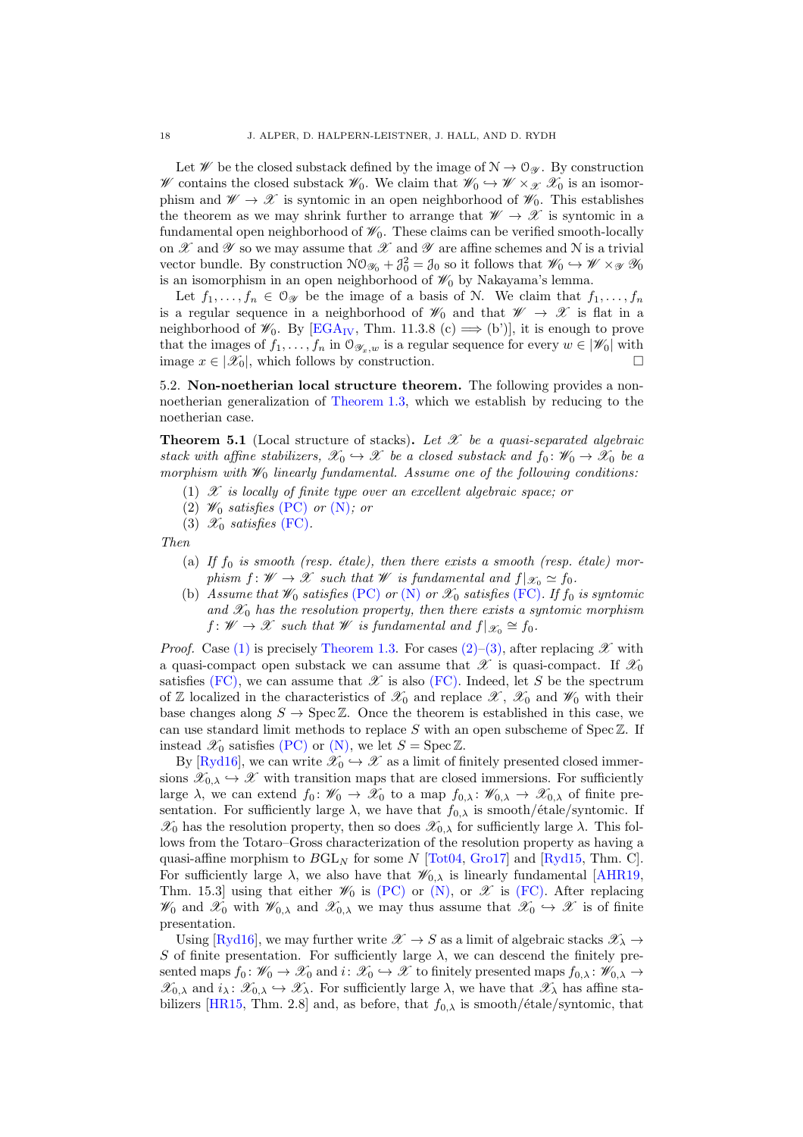Let  $W$  be the closed substack defined by the image of  $N \to \mathcal{O}_{\mathscr{Y}}$ . By construction W contains the closed substack  $\mathscr{W}_0$ . We claim that  $\mathscr{W}_0 \hookrightarrow \mathscr{W} \times_{\mathscr{X}} \mathscr{X}_0$  is an isomorphism and  $\mathscr{W} \to \mathscr{X}$  is syntomic in an open neighborhood of  $\mathscr{W}_0$ . This establishes the theorem as we may shrink further to arrange that  $\mathscr{W} \to \mathscr{X}$  is syntomic in a fundamental open neighborhood of  $\mathcal{W}_0$ . These claims can be verified smooth-locally on  $\mathscr X$  and  $\mathscr Y$  so we may assume that  $\mathscr X$  and  $\mathscr Y$  are affine schemes and N is a trivial vector bundle. By construction  $\mathcal{NO}_{\mathscr{Y}_0} + \mathcal{J}_0^2 = \mathcal{J}_0$  so it follows that  $\mathscr{W}_0 \hookrightarrow \mathscr{W} \times_{\mathscr{Y}} \mathscr{Y}_0$ is an isomorphism in an open neighborhood of  $\mathcal{W}_0$  by Nakayama's lemma.

Let  $f_1, \ldots, f_n \in \mathcal{O}_{\mathscr{Y}}$  be the image of a basis of N. We claim that  $f_1, \ldots, f_n$ is a regular sequence in a neighborhood of  $\mathscr{W}_0$  and that  $\mathscr{W} \to \mathscr{X}$  is flat in a neighborhood of  $\mathscr{W}_0$ . By [\[EGA](#page-24-19)<sub>IV</sub>, Thm. 11.3.8 (c)  $\implies$  (b')], it is enough to prove that the images of  $f_1, \ldots, f_n$  in  $\mathcal{O}_{\mathscr{Y}_x,w}$  is a regular sequence for every  $w \in |\mathscr{W}_0|$  with image  $x \in |\mathcal{X}_0|$ , which follows by construction.

5.2. Non-noetherian local structure theorem. The following provides a nonnoetherian generalization of [Theorem 1.3,](#page-1-0) which we establish by reducing to the noetherian case.

<span id="page-17-0"></span>**Theorem 5.1** (Local structure of stacks). Let  $\mathcal{X}$  be a quasi-separated algebraic stack with affine stabilizers,  $\mathscr{X}_0 \hookrightarrow \mathscr{X}$  be a closed substack and  $f_0: \mathscr{W}_0 \to \mathscr{X}_0$  be a morphism with  $\mathcal{W}_0$  linearly fundamental. Assume one of the following conditions:

- <span id="page-17-2"></span><span id="page-17-1"></span>(1)  $\mathscr X$  is locally of finite type over an excellent algebraic space; or
- <span id="page-17-3"></span>(2)  $\mathscr{W}_0$  satisfies [\(PC\)](#page-1-1) or [\(N\)](#page-1-2); or
- (3)  $\mathscr{X}_0$  satisfies [\(FC\)](#page-1-3).

Then

- (a) If  $f_0$  is smooth (resp. étale), then there exists a smooth (resp. étale) morphism  $f: W \to \mathcal{X}$  such that W is fundamental and  $f|_{\mathcal{X}_0} \simeq f_0$ .
- <span id="page-17-4"></span>(b) Assume that  $\mathscr{W}_0$  satisfies [\(PC\)](#page-1-1) or [\(N\)](#page-1-2) or  $\mathscr{X}_0$  satisfies [\(FC\)](#page-1-3). If  $f_0$  is syntomic and  $\mathscr{X}_0$  has the resolution property, then there exists a syntomic morphism  $f: W \to \mathscr{X}$  such that W is fundamental and  $f|_{\mathscr{X}_0} \cong f_0$ .

*Proof.* Case [\(1\)](#page-17-1) is precisely [Theorem 1.3.](#page-1-0) For cases [\(2\)](#page-17-2)[–\(3\),](#page-17-3) after replacing  $\mathscr X$  with a quasi-compact open substack we can assume that  $\mathscr X$  is quasi-compact. If  $\mathscr X_0$ satisfies [\(FC\),](#page-1-3) we can assume that  $\mathscr X$  is also [\(FC\).](#page-1-3) Indeed, let S be the spectrum of Z localized in the characteristics of  $\mathscr{X}_0$  and replace  $\mathscr{X}, \ \mathscr{X}_0$  and  $\mathscr{W}_0$  with their base changes along  $S \to \text{Spec } \mathbb{Z}$ . Once the theorem is established in this case, we can use standard limit methods to replace  $S$  with an open subscheme of  $Spec \mathbb{Z}$ . If instead  $\mathscr{X}_0$  satisfies [\(PC\)](#page-1-1) or [\(N\),](#page-1-2) we let  $S = \operatorname{Spec} \mathbb{Z}$ .

By [\[Ryd16\]](#page-25-7), we can write  $\mathscr{X}_0 \hookrightarrow \mathscr{X}$  as a limit of finitely presented closed immersions  $\mathscr{X}_{0,\lambda} \hookrightarrow \mathscr{X}$  with transition maps that are closed immersions. For sufficiently large  $\lambda$ , we can extend  $f_0: \mathscr{W}_0 \to \mathscr{X}_0$  to a map  $f_{0,\lambda}: \mathscr{W}_{0,\lambda} \to \mathscr{X}_{0,\lambda}$  of finite presentation. For sufficiently large  $\lambda$ , we have that  $f_{0,\lambda}$  is smooth/ $\acute{e}$ tale/syntomic. If  $\mathscr{X}_0$  has the resolution property, then so does  $\mathscr{X}_{0,\lambda}$  for sufficiently large  $\lambda$ . This follows from the Totaro–Gross characterization of the resolution property as having a quasi-affine morphism to  $BGL_N$  for some N [\[Tot04,](#page-25-9) [Gro17\]](#page-24-20) and [\[Ryd15,](#page-25-6) Thm. C]. For sufficiently large  $\lambda$ , we also have that  $\mathscr{W}_{0,\lambda}$  is linearly fundamental [\[AHR19,](#page-24-4) Thm. 15.3] using that either  $\mathscr{W}_0$  is [\(PC\)](#page-1-1) or [\(N\),](#page-1-2) or  $\mathscr{X}$  is [\(FC\).](#page-1-3) After replacing  $\mathscr{W}_0$  and  $\mathscr{X}_0$  with  $\mathscr{W}_{0,\lambda}$  and  $\mathscr{X}_{0,\lambda}$  we may thus assume that  $\mathscr{X}_0 \hookrightarrow \mathscr{X}$  is of finite presentation.

Using [\[Ryd16\]](#page-25-7), we may further write  $\mathscr{X} \to S$  as a limit of algebraic stacks  $\mathscr{X}_{\lambda} \to$ S of finite presentation. For sufficiently large  $\lambda$ , we can descend the finitely presented maps  $f_0: \mathscr{W}_0 \to \mathscr{X}_0$  and  $i: \mathscr{X}_0 \to \mathscr{X}$  to finitely presented maps  $f_{0,\lambda}: \mathscr{W}_{0,\lambda} \to$  $\mathscr{X}_{0,\lambda}$  and  $i_{\lambda} : \mathscr{X}_{0,\lambda} \hookrightarrow \mathscr{X}_{\lambda}$ . For sufficiently large  $\lambda$ , we have that  $\mathscr{X}_{\lambda}$  has affine sta-bilizers [\[HR15,](#page-24-5) Thm. 2.8] and, as before, that  $f_{0,\lambda}$  is smooth/ $\acute{e}$ tale/syntomic, that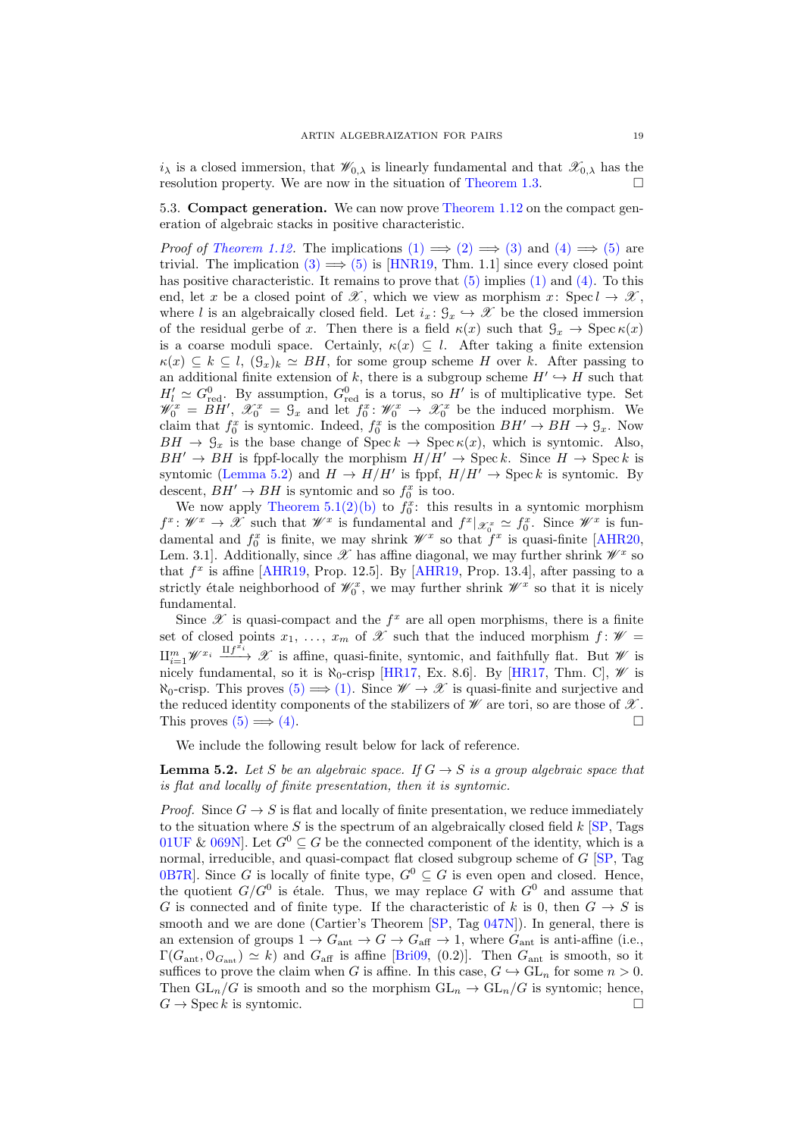$i_\lambda$  is a closed immersion, that  $\mathscr{W}_{0,\lambda}$  is linearly fundamental and that  $\mathscr{X}_{0,\lambda}$  has the resolution property. We are now in the situation of [Theorem 1.3.](#page-1-0)  $\Box$ 

5.3. Compact generation. We can now prove [Theorem 1.12](#page-4-0) on the compact generation of algebraic stacks in positive characteristic.

*Proof of [Theorem 1.12.](#page-4-0)* The implications  $(1) \implies (2) \implies (3)$  $(1) \implies (2) \implies (3)$  $(1) \implies (2) \implies (3)$  $(1) \implies (2) \implies (3)$  $(1) \implies (2) \implies (3)$  and  $(4) \implies (5)$  $(4) \implies (5)$  $(4) \implies (5)$  are trivial. The implication [\(3\)](#page-4-3)  $\implies$  [\(5\)](#page-4-5) is [\[HNR19,](#page-24-12) Thm. 1.1] since every closed point has positive characteristic. It remains to prove that  $(5)$  implies  $(1)$  and  $(4)$ . To this end, let x be a closed point of  $\mathscr X$ , which we view as morphism x: Spec  $l \to \mathscr X$ , where l is an algebraically closed field. Let  $i_x : \mathcal{G}_x \hookrightarrow \mathcal{X}$  be the closed immersion of the residual gerbe of x. Then there is a field  $\kappa(x)$  such that  $\mathcal{G}_x \to \text{Spec } \kappa(x)$ is a coarse moduli space. Certainly,  $\kappa(x) \subseteq l$ . After taking a finite extension  $\kappa(x) \subseteq k \subseteq l$ ,  $(\mathcal{G}_x)_k \simeq BH$ , for some group scheme H over k. After passing to an additional finite extension of k, there is a subgroup scheme  $H' \hookrightarrow H$  such that  $H'_l \simeq G_{\text{red}}^0$ . By assumption,  $G_{\text{red}}^0$  is a torus, so H' is of multiplicative type. Set  $\mathscr{W}_0^x = \widetilde{BH}', \ \mathscr{X}_0^x = \mathscr{G}_x$  and let  $f_0^x \colon \mathscr{W}_0^x \to \mathscr{X}_0^x$  be the induced morphism. We claim that  $f_0^x$  is syntomic. Indeed,  $f_0^x$  is the composition  $BH' \to BH \to \mathcal{G}_x$ . Now  $BH \rightarrow \mathcal{G}_x$  is the base change of  $\text{Spec } k \rightarrow \text{Spec } \kappa(x)$ , which is syntomic. Also,  $BH' \rightarrow BH$  is fppf-locally the morphism  $H/H' \rightarrow \text{Spec } k$ . Since  $H \rightarrow \text{Spec } k$  is syntomic [\(Lemma 5.2\)](#page-18-0) and  $H \to H/H'$  is fppf,  $H/H' \to \text{Spec } k$  is syntomic. By descent,  $BH' \rightarrow BH$  is syntomic and so  $f_0^x$  is too.

We now apply Theorem  $5.1(2)(b)$  $5.1(2)(b)$  $5.1(2)(b)$  to  $f_0^x$ : this results in a syntomic morphism  $f^x \colon \mathscr{W}^x \to \mathscr{X}$  such that  $\mathscr{W}^x$  is fundamental and  $f^x |_{\mathscr{X}^x_0} \simeq f^x_0$ . Since  $\mathscr{W}^x$  is fundamental and  $f_0^x$  is finite, we may shrink  $\mathscr{W}^x$  so that  $f^x$  is quasi-finite [\[AHR20,](#page-24-2) Lem. 3.1]. Additionally, since  $\mathscr X$  has affine diagonal, we may further shrink  $\mathscr W^x$  so that  $f^x$  is affine [\[AHR19,](#page-24-4) Prop. 12.5]. By [AHR19, Prop. 13.4], after passing to a strictly étale neighborhood of  $\mathscr{W}_0^x$ , we may further shrink  $\mathscr{W}^x$  so that it is nicely fundamental.

Since  $\mathscr X$  is quasi-compact and the  $f^x$  are all open morphisms, there is a finite set of closed points  $x_1, \ldots, x_m$  of  $\mathscr X$  such that the induced morphism  $f : \mathscr W =$  $\coprod_{i=1}^m \mathscr{W}^{x_i} \xrightarrow{\coprod f^{x_i}} \mathscr{X}$  is affine, quasi-finite, syntomic, and faithfully flat. But  $\mathscr{W}$  is nicely fundamental, so it is  $\aleph_0$ -crisp [\[HR17,](#page-24-11) Ex. 8.6]. By [HR17, Thm. C],  $\mathscr W$  is  $\aleph_0$ -crisp. This proves  $(5) \implies (1)$  $(5) \implies (1)$ . Since  $\mathscr{W} \to \mathscr{X}$  is quasi-finite and surjective and the reduced identity components of the stabilizers of  $\mathscr W$  are tori, so are those of  $\mathscr X$ . This proves  $(5) \implies (4)$  $(5) \implies (4)$ .

<span id="page-18-0"></span>We include the following result below for lack of reference.

**Lemma 5.2.** Let S be an algebraic space. If  $G \rightarrow S$  is a group algebraic space that is flat and locally of finite presentation, then it is syntomic.

*Proof.* Since  $G \to S$  is flat and locally of finite presentation, we reduce immediately to the situation where S is the spectrum of an algebraically closed field  $k$  [\[SP,](#page-25-0) Tags [01UF](http://stacks.math.columbia.edu/tag/01UF) & 069N. Let  $G^0 \subseteq G$  be the connected component of the identity, which is a normal, irreducible, and quasi-compact flat closed subgroup scheme of  $G$   $\boxed{SP}$ , Tag [0B7R\]](http://stacks.math.columbia.edu/tag/0B7R). Since G is locally of finite type,  $G^0 \subseteq G$  is even open and closed. Hence, the quotient  $G/G^0$  is étale. Thus, we may replace G with  $G^0$  and assume that G is connected and of finite type. If the characteristic of k is 0, then  $G \rightarrow S$  is smooth and we are done (Cartier's Theorem [\[SP,](#page-25-0) Tag [047N\]](http://stacks.math.columbia.edu/tag/047N)). In general, there is an extension of groups  $1 \to G_{\text{ant}} \to G \to G_{\text{aff}} \to 1$ , where  $G_{\text{ant}}$  is anti-affine (i.e.,  $\Gamma(G_{\text{ant}}, \mathcal{O}_{G_{\text{ant}}}) \simeq k$  and  $G_{\text{aff}}$  is affine [\[Bri09,](#page-24-21) (0.2)]. Then  $G_{\text{ant}}$  is smooth, so it suffices to prove the claim when G is affine. In this case,  $G \hookrightarrow GL_n$  for some  $n > 0$ . Then  $GL_n/G$  is smooth and so the morphism  $GL_n \to GL_n/G$  is syntomic; hence,  $G \rightarrow \text{Spec } k$  is syntomic.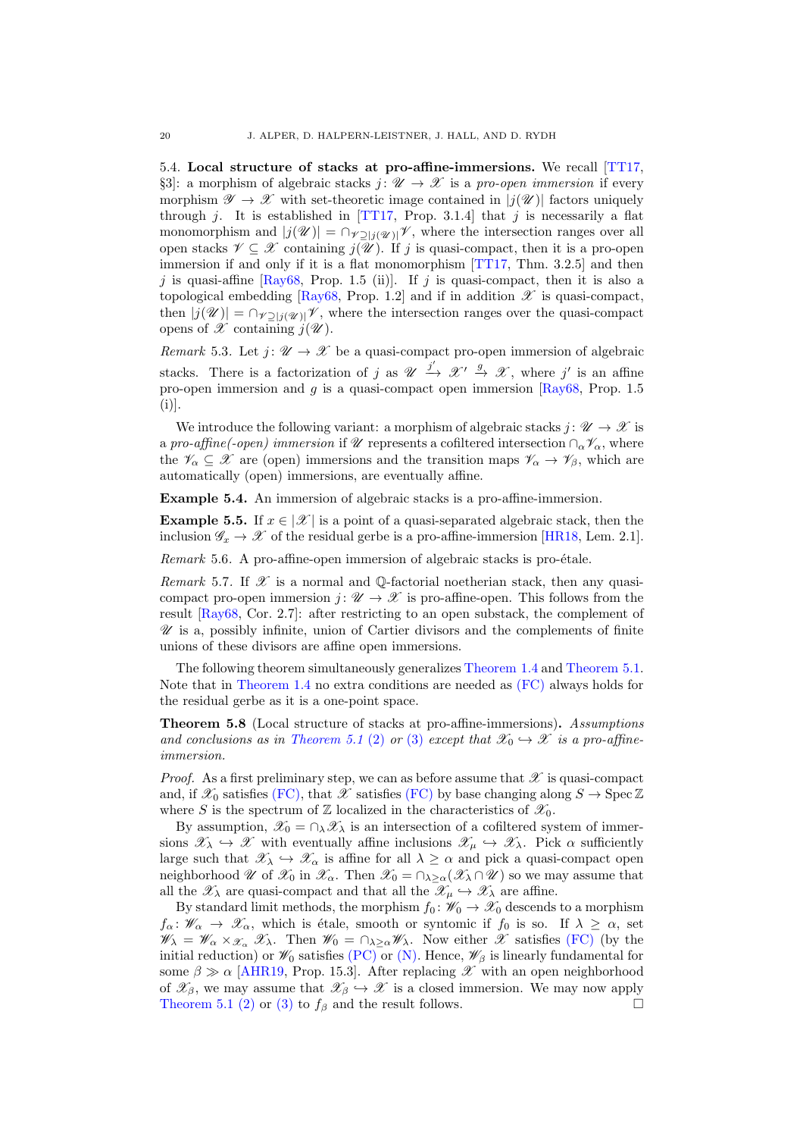5.4. Local structure of stacks at pro-affine-immersions. We recall [\[TT17,](#page-25-10) §3]: a morphism of algebraic stacks  $j: \mathcal{U} \to \mathcal{X}$  is a pro-open immersion if every morphism  $\mathscr{Y} \to \mathscr{X}$  with set-theoretic image contained in  $|j(\mathscr{U})|$  factors uniquely through j. It is established in [\[TT17,](#page-25-10) Prop. 3.1.4] that j is necessarily a flat monomorphism and  $|j(\mathscr{U})| = \bigcap_{\mathscr{V} \supseteq |j(\mathscr{U})|} \mathscr{V}$ , where the intersection ranges over all open stacks  $\mathscr{V} \subseteq \mathscr{X}$  containing  $j(\overline{\mathscr{U}})$ . If j is quasi-compact, then it is a pro-open immersion if and only if it is a flat monomorphism [\[TT17,](#page-25-10) Thm. 3.2.5] and then  $j$  is quasi-affine [\[Ray68,](#page-25-11) Prop. 1.5 (ii)]. If  $j$  is quasi-compact, then it is also a topological embedding [\[Ray68,](#page-25-11) Prop. 1.2] and if in addition  $\mathscr X$  is quasi-compact, then  $|j(\mathscr{U})| = \bigcap_{\mathscr{V} \supseteq |j(\mathscr{U})|} \mathscr{V}$ , where the intersection ranges over the quasi-compact opens of  $\mathscr X$  containing  $j(\mathscr U)$ .

Remark 5.3. Let  $j: \mathcal{U} \to \mathcal{X}$  be a quasi-compact pro-open immersion of algebraic stacks. There is a factorization of j as  $\mathscr{U} \xrightarrow{j'} \mathscr{X}' \xrightarrow{g} \mathscr{X}$ , where j' is an affine pro-open immersion and  $q$  is a quasi-compact open immersion [\[Ray68,](#page-25-11) Prop. 1.5]  $(i)$ ].

We introduce the following variant: a morphism of algebraic stacks  $j: \mathcal{U} \to \mathcal{X}$  is a pro-affine(-open) immersion if  $\mathscr U$  represents a cofiltered intersection  $\cap_\alpha \mathscr V_\alpha$ , where the  $\mathscr{V}_{\alpha} \subseteq \mathscr{X}$  are (open) immersions and the transition maps  $\mathscr{V}_{\alpha} \to \mathscr{V}_{\beta}$ , which are automatically (open) immersions, are eventually affine.

Example 5.4. An immersion of algebraic stacks is a pro-affine-immersion.

**Example 5.5.** If  $x \in \mathcal{X}$  is a point of a quasi-separated algebraic stack, then the inclusion  $\mathscr{G}_x \to \mathscr{X}$  of the residual gerbe is a pro-affine-immersion [\[HR18,](#page-24-22) Lem. 2.1].

Remark 5.6. A pro-affine-open immersion of algebraic stacks is pro-étale.

Remark 5.7. If  $\mathscr X$  is a normal and  $\mathbb Q$ -factorial noetherian stack, then any quasicompact pro-open immersion  $j: \mathcal{U} \to \mathcal{X}$  is pro-affine-open. This follows from the result [\[Ray68,](#page-25-11) Cor. 2.7]: after restricting to an open substack, the complement of  $\mathscr U$  is a, possibly infinite, union of Cartier divisors and the complements of finite unions of these divisors are affine open immersions.

The following theorem simultaneously generalizes [Theorem 1.4](#page-2-2) and [Theorem 5.1.](#page-17-0) Note that in [Theorem 1.4](#page-2-2) no extra conditions are needed as [\(FC\)](#page-1-3) always holds for the residual gerbe as it is a one-point space.

<span id="page-19-0"></span>Theorem 5.8 (Local structure of stacks at pro-affine-immersions). Assumptions and conclusions as in [Theorem 5.1](#page-17-0) [\(2\)](#page-17-2) or [\(3\)](#page-17-3) except that  $\mathscr{X}_0 \hookrightarrow \mathscr{X}$  is a pro-affineimmersion.

*Proof.* As a first preliminary step, we can as before assume that  $\mathscr X$  is quasi-compact and, if  $\mathscr{X}_0$  satisfies [\(FC\),](#page-1-3) that  $\mathscr{X}$  satisfies [\(FC\)](#page-1-3) by base changing along  $S \to \text{Spec } \mathbb{Z}$ where S is the spectrum of Z localized in the characteristics of  $\mathscr{X}_0$ .

By assumption,  $\mathscr{X}_0 = \cap_{\lambda} \mathscr{X}_{\lambda}$  is an intersection of a cofiltered system of immersions  $\mathscr{X}_{\lambda} \hookrightarrow \mathscr{X}$  with eventually affine inclusions  $\mathscr{X}_{\mu} \hookrightarrow \mathscr{X}_{\lambda}$ . Pick  $\alpha$  sufficiently large such that  $\mathscr{X}_{\lambda} \hookrightarrow \mathscr{X}_{\alpha}$  is affine for all  $\lambda \geq \alpha$  and pick a quasi-compact open neighborhood  $\mathscr U$  of  $\mathscr X_0$  in  $\mathscr X_\alpha$ . Then  $\mathscr X_0 = \cap_{\lambda \geq \alpha} (\mathscr X_\lambda \cap \mathscr U)$  so we may assume that all the  $\mathscr{X}_{\lambda}$  are quasi-compact and that all the  $\mathscr{X}_{\mu} \hookrightarrow \mathscr{X}_{\lambda}$  are affine.

By standard limit methods, the morphism  $f_0 : \mathcal{W}_0 \to \mathcal{X}_0$  descends to a morphism  $f_{\alpha} : \mathscr{W}_{\alpha} \to \mathscr{X}_{\alpha}$ , which is étale, smooth or syntomic if  $f_0$  is so. If  $\lambda \geq \alpha$ , set  $\mathscr{W}_{\lambda} = \mathscr{W}_{\alpha} \times \mathscr{X}_{\alpha} \mathscr{X}_{\lambda}$ . Then  $\mathscr{W}_{0} = \bigcap_{\lambda \geq \alpha} \mathscr{W}_{\lambda}$ . Now either  $\mathscr{X}$  satisfies [\(FC\)](#page-1-3) (by the initial reduction) or  $\mathscr{W}_0$  satisfies [\(PC\)](#page-1-1) or [\(N\).](#page-1-2) Hence,  $\mathscr{W}_{\beta}$  is linearly fundamental for some  $\beta \gg \alpha$  [\[AHR19,](#page-24-4) Prop. 15.3]. After replacing X with an open neighborhood of  $\mathscr{X}_{\beta}$ , we may assume that  $\mathscr{X}_{\beta} \hookrightarrow \mathscr{X}$  is a closed immersion. We may now apply [Theorem 5.1](#page-17-0) [\(2\)](#page-17-2) or [\(3\)](#page-17-3) to  $f_\beta$  and the result follows.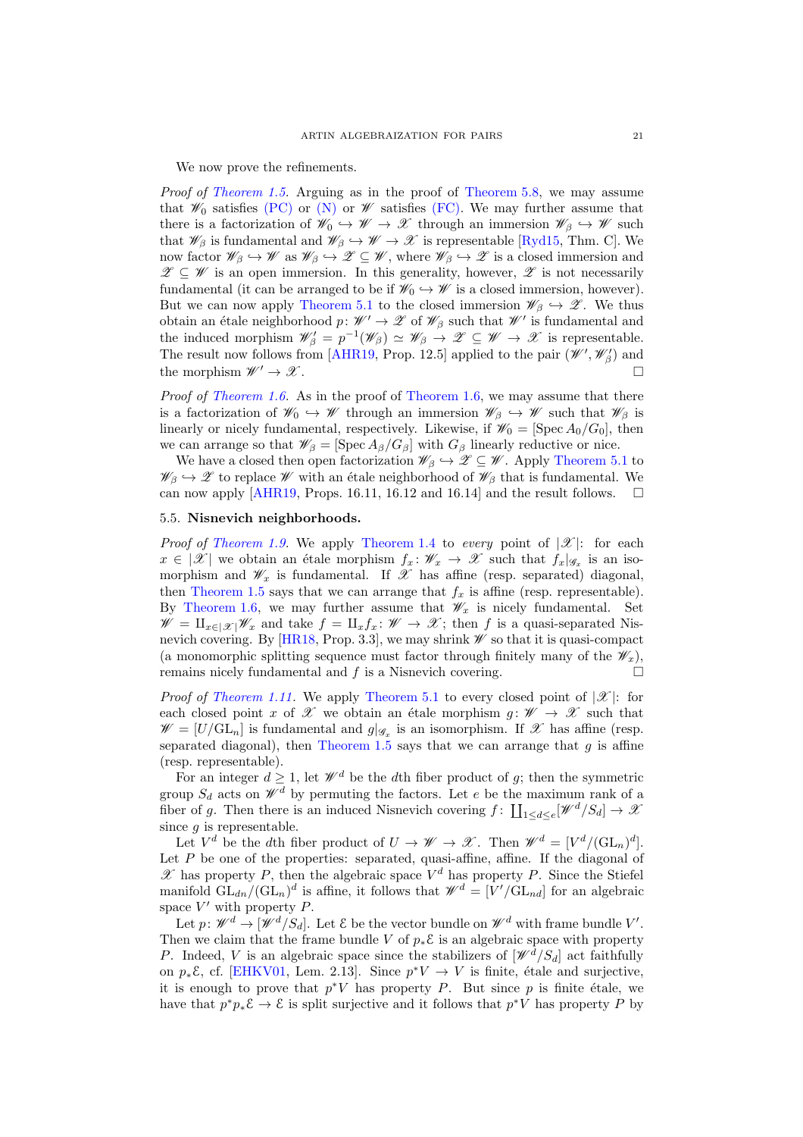We now prove the refinements.

Proof of [Theorem 1.5.](#page-2-0) Arguing as in the proof of [Theorem 5.8,](#page-19-0) we may assume that  $\mathscr{W}_0$  satisfies [\(PC\)](#page-1-1) or  $(\mathbb{N})$  or  $\mathscr{W}$  satisfies [\(FC\).](#page-1-3) We may further assume that there is a factorization of  $\mathscr{W}_0 \hookrightarrow \mathscr{W} \to \mathscr{X}$  through an immersion  $\mathscr{W}_\beta \hookrightarrow \mathscr{W}$  such that  $\mathscr{W}_{\beta}$  is fundamental and  $\mathscr{W}_{\beta} \hookrightarrow \mathscr{W} \to \mathscr{X}$  is representable [\[Ryd15,](#page-25-6) Thm. C]. We now factor  $\mathscr{W}_{\beta} \hookrightarrow \mathscr{W}$  as  $\mathscr{W}_{\beta} \hookrightarrow \mathscr{Z} \subseteq \mathscr{W}$ , where  $\mathscr{W}_{\beta} \hookrightarrow \mathscr{Z}$  is a closed immersion and  $\mathscr{Z} \subseteq \mathscr{W}$  is an open immersion. In this generality, however,  $\mathscr{Z}$  is not necessarily fundamental (it can be arranged to be if  $\mathscr{W}_0 \hookrightarrow \mathscr{W}$  is a closed immersion, however). But we can now apply [Theorem 5.1](#page-17-0) to the closed immersion  $\mathscr{W}_{\beta} \hookrightarrow \mathscr{Z}$ . We thus obtain an étale neighborhood  $p: W' \to \mathscr{Z}$  of  $\mathscr{W}_{\beta}$  such that  $\mathscr{W}'$  is fundamental and the induced morphism  $\mathscr{W}_{\beta} = p^{-1}(\mathscr{W}_{\beta}) \simeq \mathscr{W}_{\beta} \to \mathscr{Z} \subseteq \mathscr{W} \to \mathscr{X}$  is representable. The result now follows from [\[AHR19,](#page-24-4) Prop. 12.5] applied to the pair  $(\mathscr{W}', \mathscr{W}'_{\beta})$  and the morphism  $\mathscr{W}' \to \mathscr{X}$ .

*Proof of [Theorem 1.6.](#page-2-1)* As in the proof of [Theorem 1.6,](#page-2-1) we may assume that there is a factorization of  $\mathscr{W}_0 \hookrightarrow \mathscr{W}$  through an immersion  $\mathscr{W}_\beta \hookrightarrow \mathscr{W}$  such that  $\mathscr{W}_\beta$  is linearly or nicely fundamental, respectively. Likewise, if  $\mathscr{W}_0 = [\text{Spec } A_0/G_0]$ , then we can arrange so that  $\mathscr{W}_{\beta} = [\operatorname{Spec} A_{\beta}/G_{\beta}]$  with  $G_{\beta}$  linearly reductive or nice.

We have a closed then open factorization  $\mathscr{W}_{\beta} \hookrightarrow \mathscr{Z} \subseteq \mathscr{W}$ . Apply [Theorem 5.1](#page-17-0) to  $\mathscr{W}_{\beta} \hookrightarrow \mathscr{Z}$  to replace  $\mathscr{W}$  with an étale neighborhood of  $\mathscr{W}_{\beta}$  that is fundamental. We can now apply [\[AHR19,](#page-24-4) Props. 16.11, 16.12 and 16.14] and the result follows.  $\square$ 

# 5.5. Nisnevich neighborhoods.

*Proof of [Theorem 1.9.](#page-3-1)* We apply [Theorem 1.4](#page-2-2) to every point of  $|\mathcal{X}|$ : for each  $x \in |\mathscr{X}|$  we obtain an étale morphism  $f_x : \mathscr{W}_x \to \mathscr{X}$  such that  $f_x|_{\mathscr{G}_x}$  is an isomorphism and  $\mathscr{W}_x$  is fundamental. If  $\overline{\mathscr{X}}$  has affine (resp. separated) diagonal, then [Theorem 1.5](#page-2-0) says that we can arrange that  $f_x$  is affine (resp. representable). By [Theorem 1.6,](#page-2-1) we may further assume that  $\mathscr{W}_x$  is nicely fundamental. Set  $\mathscr{W} = \amalg_{x \in |\mathscr{X}|} \mathscr{W}_x$  and take  $f = \amalg_x f_x : \mathscr{W} \to \mathscr{X}$ ; then f is a quasi-separated Nis-nevich covering. By [\[HR18,](#page-24-22) Prop. 3.3], we may shrink  $\mathscr W$  so that it is quasi-compact (a monomorphic splitting sequence must factor through finitely many of the  $\mathscr{W}_x$ ), remains nicely fundamental and f is a Nisnevich covering. remains nicely fundamental and f is a Nisnevich covering.

*Proof of [Theorem 1.11.](#page-3-2)* We apply [Theorem 5.1](#page-17-0) to every closed point of  $|\mathscr{X}|$ : for each closed point x of X we obtain an étale morphism  $g : \mathscr{W} \to \mathscr{X}$  such that  $\mathscr{W} = [U/\mathrm{GL}_n]$  is fundamental and  $g|_{\mathscr{G}_x}$  is an isomorphism. If  $\mathscr{X}$  has affine (resp. separated diagonal), then [Theorem 1.5](#page-2-0) says that we can arrange that  $g$  is affine (resp. representable).

For an integer  $d \geq 1$ , let  $\mathcal{W}^d$  be the dth fiber product of g; then the symmetric group  $S_d$  acts on  $\mathcal{W}^d$  by permuting the factors. Let e be the maximum rank of a fiber of g. Then there is an induced Nisnevich covering  $f: \coprod_{1 \leq d \leq e} [\mathscr{W}^d/S_d] \to \mathscr{X}$ since  $g$  is representable.

Let  $V^d$  be the dth fiber product of  $U \to \mathscr{W} \to \mathscr{X}$ . Then  $\mathscr{W}^d = [V^d/(\mathrm{GL}_n)^d]$ . Let  $P$  be one of the properties: separated, quasi-affine, affine. If the diagonal of  $\mathscr X$  has property P, then the algebraic space  $V^d$  has property P. Since the Stiefel manifold  $GL_{dn}/(GL_n)^d$  is affine, it follows that  $\mathscr{W}^d = [V'/GL_{nd}]$  for an algebraic space  $V'$  with property  $P$ .

Let  $p: \mathscr{W}^d \to [\mathscr{W}^d/S_d]$ . Let  $\mathscr{E}$  be the vector bundle on  $\mathscr{W}^d$  with frame bundle  $V'.$ Then we claim that the frame bundle V of  $p_*\mathcal{E}$  is an algebraic space with property P. Indeed, V is an algebraic space since the stabilizers of  $[\mathscr{W}^d/S_d]$  act faithfully on  $p_*\mathcal{E}$ , cf. [\[EHKV01,](#page-24-23) Lem. 2.13]. Since  $p^*V \to V$  is finite, étale and surjective, it is enough to prove that  $p^*V$  has property P. But since p is finite étale, we have that  $p^*p_*\mathcal{E} \to \mathcal{E}$  is split surjective and it follows that  $p^*V$  has property P by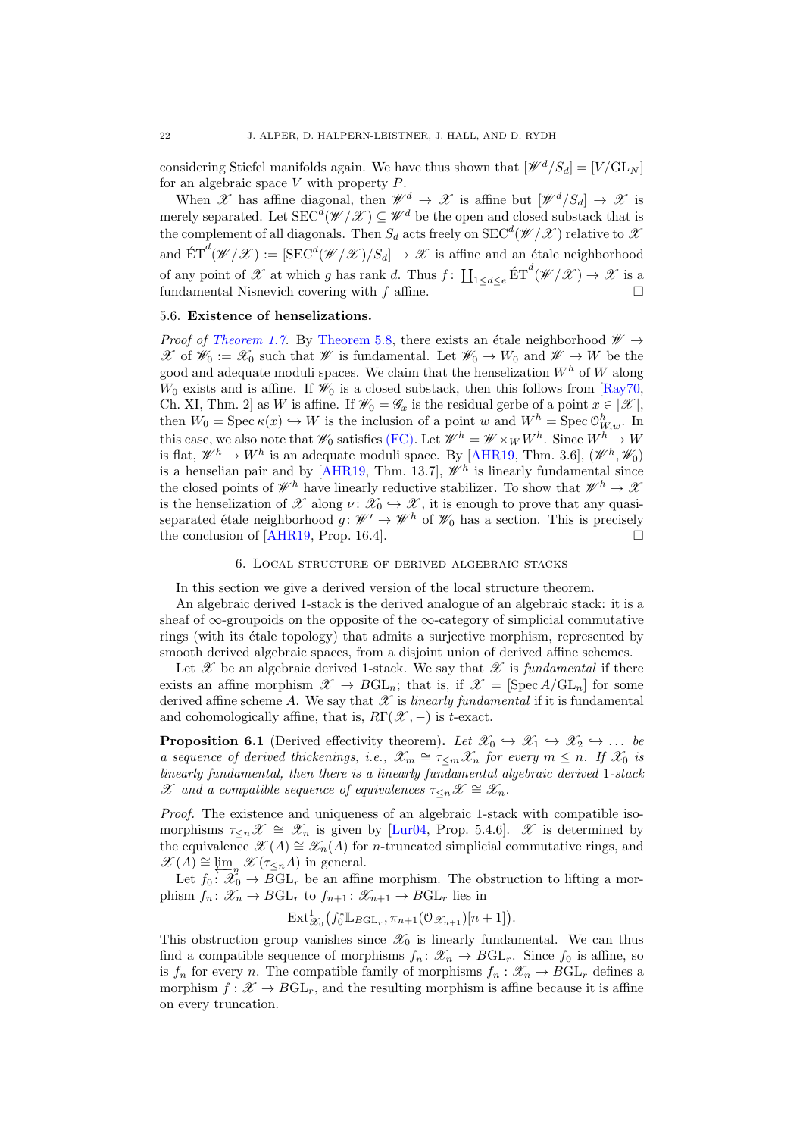considering Stiefel manifolds again. We have thus shown that  $[\mathscr{W}^d/S_d] = [V/\mathrm{GL}_N]$ for an algebraic space  $V$  with property  $P$ .

When X has affine diagonal, then  $\mathscr{W}^d \to \mathscr{X}$  is affine but  $[\mathscr{W}^d/S_d] \to \mathscr{X}$  is merely separated. Let  $\text{SEC}^d(\mathscr{W}/\mathscr{X}) \subseteq \mathscr{W}^d$  be the open and closed substack that is the complement of all diagonals. Then  $S_d$  acts freely on  $\mathrm{SEC}^d(\mathscr{W}/\mathscr{X})$  relative to  $\mathscr X$ and  $\hat{\mathrm{ET}}^d(\mathscr{W}/\mathscr{X}):= [\mathrm{SEC}^d(\mathscr{W}/\mathscr{X})/S_d] \to \mathscr{X}$  is affine and an étale neighborhood of any point of  $\mathscr X$  at which g has rank d. Thus  $f: \coprod_{1 \leq d \leq e} \text{ET}^d(\mathscr W/\mathscr X) \to \mathscr X$  is a fundamental Nisnevich covering with f affine.

#### 5.6. Existence of henselizations.

*Proof of [Theorem 1.7.](#page-2-3)* By [Theorem 5.8,](#page-19-0) there exists an étale neighborhood  $\mathscr{W} \rightarrow$ X of  $\mathscr{W}_0 := \mathscr{X}_0$  such that W is fundamental. Let  $\mathscr{W}_0 \to W_0$  and  $\mathscr{W} \to W$  be the good and adequate moduli spaces. We claim that the henselization  $W<sup>h</sup>$  of W along  $W_0$  exists and is affine. If  $\mathcal{W}_0$  is a closed substack, then this follows from [\[Ray70,](#page-25-2) Ch. XI, Thm. 2] as W is affine. If  $\mathscr{W}_0 = \mathscr{G}_x$  is the residual gerbe of a point  $x \in [\mathscr{X}]$ , then  $W_0 = \text{Spec } \kappa(x) \hookrightarrow W$  is the inclusion of a point w and  $W^h = \text{Spec } \mathcal{O}_{W,w}^h$ . In this case, we also note that  $\mathscr{W}_0$  satisfies [\(FC\).](#page-1-3) Let  $\mathscr{W}^h = \mathscr{W} \times_W W^h$ . Since  $W^h \to W$ is flat,  $\mathscr{W}^h \to W^h$  is an adequate moduli space. By [\[AHR19,](#page-24-4) Thm. 3.6],  $(\mathscr{W}^h, \mathscr{W}_0)$ is a henselian pair and by [\[AHR19,](#page-24-4) Thm. 13.7],  $\mathscr{W}^h$  is linearly fundamental since the closed points of  $\mathscr{W}^h$  have linearly reductive stabilizer. To show that  $\mathscr{W}^h \to \mathscr{X}$ is the henselization of  $\mathscr X$  along  $\nu : \mathscr X_0 \hookrightarrow \mathscr X$ , it is enough to prove that any quasiseparated étale neighborhood  $g : \mathcal{W}' \to \mathcal{W}^h$  of  $\mathcal{W}_0$  has a section. This is precisely the conclusion of [\[AHR19,](#page-24-4) Prop. 16.4].  $\square$ 

#### 6. Local structure of derived algebraic stacks

<span id="page-21-1"></span>In this section we give a derived version of the local structure theorem.

An algebraic derived 1-stack is the derived analogue of an algebraic stack: it is a sheaf of  $\infty$ -groupoids on the opposite of the  $\infty$ -category of simplicial commutative rings (with its  $\acute{e}t$  tale topology) that admits a surjective morphism, represented by smooth derived algebraic spaces, from a disjoint union of derived affine schemes.

Let  $\mathscr X$  be an algebraic derived 1-stack. We say that  $\mathscr X$  is fundamental if there exists an affine morphism  $\mathscr{X} \to BGL_n$ ; that is, if  $\mathscr{X} = [\text{Spec } A/\text{GL}_n]$  for some derived affine scheme A. We say that  $\mathscr X$  is linearly fundamental if it is fundamental and cohomologically affine, that is,  $R\Gamma(\mathscr{X},-)$  is t-exact.

<span id="page-21-0"></span>**Proposition 6.1** (Derived effectivity theorem). Let  $\mathscr{X}_0 \hookrightarrow \mathscr{X}_1 \hookrightarrow \mathscr{X}_2 \hookrightarrow \dots$  be a sequence of derived thickenings, i.e.,  $\mathscr{X}_m \cong \tau_{\leq m} \mathscr{X}_n$  for every  $m \leq n$ . If  $\mathscr{X}_0$  is linearly fundamental, then there is a linearly fundamental algebraic derived 1-stack X and a compatible sequence of equivalences  $\tau_{\leq n}X \cong \mathscr{X}_n$ .

Proof. The existence and uniqueness of an algebraic 1-stack with compatible isomorphisms  $\tau_{\leq n} \mathscr{X} \cong \mathscr{X}_n$  is given by [\[Lur04,](#page-24-24) Prop. 5.4.6].  $\mathscr{X}$  is determined by the equivalence  $\mathscr{X}(A) \cong \mathscr{X}_n(A)$  for *n*-truncated simplicial commutative rings, and  $\mathscr{X}(A) \cong \varprojlim_{n} \mathscr{X}(\tau_{\leq n}A)$  in general.

Let  $f_0: \mathcal{X}_0 \to BGL_r$  be an affine morphism. The obstruction to lifting a morphism  $f_n: \mathscr{X}_n \to BGL_r$  to  $f_{n+1}: \mathscr{X}_{n+1} \to BGL_r$  lies in

$$
\mathrm{Ext}^1_{\mathscr{X}_0}\big(f_0^*\mathbb{L}_{B\mathrm{GL}_r},\pi_{n+1}(\mathcal{O}_{\mathscr{X}_{n+1}})[n+1]\big).
$$

This obstruction group vanishes since  $\mathscr{X}_0$  is linearly fundamental. We can thus find a compatible sequence of morphisms  $f_n: \mathscr{X}_n \to BGL_r$ . Since  $f_0$  is affine, so is  $f_n$  for every n. The compatible family of morphisms  $f_n : \mathscr{X}_n \to BGL_r$  defines a morphism  $f : \mathcal{X} \to BGL_r$ , and the resulting morphism is affine because it is affine on every truncation.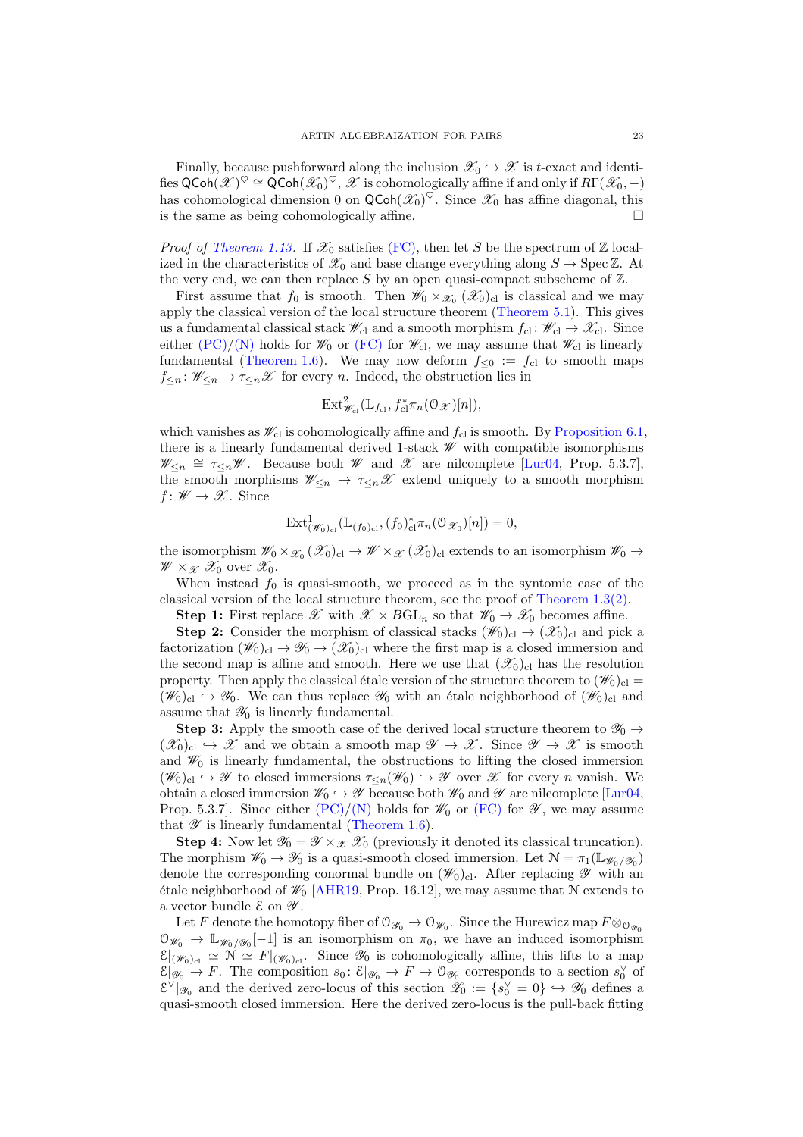Finally, because pushforward along the inclusion  $\mathscr{X}_0 \hookrightarrow \mathscr{X}$  is t-exact and identifies  $\mathsf{QCoh}(\mathscr{X})^\heartsuit \cong \mathsf{QCoh}(\mathscr{X}_0)^\heartsuit, \mathscr{X}$  is cohomologically affine if and only if  $R\Gamma(\mathscr{X}_0,-)$ has cohomological dimension 0 on  $\mathsf{QCoh}(\mathscr{X}_0)^\heartsuit$ . Since  $\mathscr{X}_0$  has affine diagonal, this is the same as being cohomologically affine.

*Proof of [Theorem 1.13.](#page-5-0)* If  $\mathscr{X}_0$  satisfies [\(FC\),](#page-1-3) then let S be the spectrum of Z localized in the characteristics of  $\mathscr{X}_0$  and base change everything along  $S \to \text{Spec } \mathbb{Z}$ . At the very end, we can then replace S by an open quasi-compact subscheme of  $\mathbb{Z}$ .

First assume that  $f_0$  is smooth. Then  $\mathscr{W}_0 \times_{\mathscr{X}_0} (\mathscr{X}_0)_{\text{cl}}$  is classical and we may apply the classical version of the local structure theorem [\(Theorem 5.1\)](#page-17-0). This gives us a fundamental classical stack  $\mathscr{W}_{cl}$  and a smooth morphism  $f_{cl} : \mathscr{W}_{cl} \to \mathscr{X}_{cl}$ . Since either  $(PC)/(N)$  $(PC)/(N)$  holds for  $\mathscr{W}_0$  or  $(FC)$  for  $\mathscr{W}_{c}$ , we may assume that  $\mathscr{W}_{c}$  is linearly fundamental [\(Theorem 1.6\)](#page-2-1). We may now deform  $f_{\leq 0} := f_{\text{cl}}$  to smooth maps  $f_{\leq n} : \mathscr{W}_{\leq n} \to \tau_{\leq n} \mathscr{X}$  for every *n*. Indeed, the obstruction lies in

$$
\text{Ext}^2_{\mathscr{W}_{\text{cl}}}(\mathbb{L}_{f_{\text{cl}}}, f_{\text{cl}}^*\pi_n(\mathcal{O}_{\mathscr{X}})[n]),
$$

which vanishes as  $\mathcal{W}_{\text{cl}}$  is cohomologically affine and  $f_{\text{cl}}$  is smooth. By [Proposition 6.1,](#page-21-0) there is a linearly fundamental derived 1-stack  $\mathscr W$  with compatible isomorphisms  $\mathscr{W}_{\leq n} \cong \tau_{\leq n} \mathscr{W}$ . Because both  $\mathscr{W}$  and  $\mathscr{X}$  are nilcomplete [\[Lur04,](#page-24-24) Prop. 5.3.7], the smooth morphisms  $\mathscr{W}_{\leq n} \to \tau_{\leq n} \mathscr{X}$  extend uniquely to a smooth morphism  $f: \mathscr{W} \to \mathscr{X}$ . Since

$$
\mathrm{Ext}^1_{(\mathscr{W}_0)_{\mathrm{cl}}}(\mathbb{L}_{(f_0)_{\mathrm{cl}}}, (f_0)_{\mathrm{cl}}^*\pi_n(\mathcal{O}_{\mathscr{X}_0})[n]) = 0,
$$

the isomorphism  $\mathscr{W}_0\times_{\mathscr{X}_0}(\mathscr{X}_0)_{\text{cl}}\to\mathscr{W}\times_{\mathscr{X}}(\mathscr{X}_0)_{\text{cl}}$  extends to an isomorphism  $\mathscr{W}_0\to\mathscr{W}$  $\mathscr{W} \times_{\mathscr{X}} \mathscr{X}_0$  over  $\mathscr{X}_0$ .

When instead  $f_0$  is quasi-smooth, we proceed as in the syntomic case of the classical version of the local structure theorem, see the proof of [Theorem 1.3](#page-1-0)[\(2\).](#page-1-5)

**Step 1:** First replace  $\mathscr{X}$  with  $\mathscr{X} \times BGL_n$  so that  $\mathscr{W}_0 \to \mathscr{X}_0$  becomes affine.

**Step 2:** Consider the morphism of classical stacks  $(\mathscr{W}_0)_{\text{cl}} \to (\mathscr{X}_0)_{\text{cl}}$  and pick a factorization  $(\mathscr{W}_0)_{\text{cl}} \to \mathscr{Y}_0 \to (\mathscr{X}_0)_{\text{cl}}$  where the first map is a closed immersion and the second map is affine and smooth. Here we use that  $(\mathscr{X}_0)_{\text{cl}}$  has the resolution property. Then apply the classical étale version of the structure theorem to  $(\mathscr{W}_0)_{\text{cl}} =$  $(\mathscr{W}_0)_{cl} \hookrightarrow \mathscr{Y}_0$ . We can thus replace  $\mathscr{Y}_0$  with an étale neighborhood of  $(\mathscr{W}_0)_{cl}$  and assume that  $\mathcal{Y}_0$  is linearly fundamental.

**Step 3:** Apply the smooth case of the derived local structure theorem to  $\mathscr{Y}_0 \rightarrow$  $(\mathscr{X}_0)_{\text{cl}} \hookrightarrow \mathscr{X}$  and we obtain a smooth map  $\mathscr{Y} \to \mathscr{X}$ . Since  $\mathscr{Y} \to \mathscr{X}$  is smooth and  $\mathscr{W}_0$  is linearly fundamental, the obstructions to lifting the closed immersion  $(\mathscr{W}_0)_{\text{cl}} \hookrightarrow \mathscr{Y}$  to closed immersions  $\tau_{\leq n}(\mathscr{W}_0) \hookrightarrow \mathscr{Y}$  over  $\mathscr{X}$  for every n vanish. We obtain a closed immersion  $\mathscr{W}_0 \hookrightarrow \mathscr{Y}$  because both  $\mathscr{W}_0$  and  $\mathscr{Y}$  are nilcomplete [\[Lur04,](#page-24-24) Prop. 5.3.7]. Since either  $(PC)/(N)$  $(PC)/(N)$  holds for  $\mathscr{W}_0$  or  $(FC)$  for  $\mathscr{Y}$ , we may assume that  $\mathscr Y$  is linearly fundamental [\(Theorem 1.6\)](#page-2-1).

**Step 4:** Now let  $\mathcal{Y}_0 = \mathcal{Y} \times_{\mathcal{X}} \mathcal{X}_0$  (previously it denoted its classical truncation). The morphism  $\mathscr{W}_0 \to \mathscr{Y}_0$  is a quasi-smooth closed immersion. Let  $\mathcal{N} = \pi_1(\mathbb{L}_{\mathscr{W}_0/\mathscr{Y}_0})$ denote the corresponding conormal bundle on  $(\mathscr{W}_0)_{\text{cl}}$ . After replacing  $\mathscr Y$  with an étale neighborhood of  $\mathcal{W}_0$  [\[AHR19,](#page-24-4) Prop. 16.12], we may assume that N extends to a vector bundle  ${\mathcal E}$  on  ${\mathscr Y}.$ 

Let F denote the homotopy fiber of  $\mathcal{O}_{\mathscr{Y}_0} \to \mathcal{O}_{\mathscr{W}_0}$ . Since the Hurewicz map  $F \otimes_{\mathcal{O}_{\mathscr{Y}_0}}$  $\mathcal{O}_{\mathscr{W}_0} \to \mathbb{L}_{\mathscr{W}_0/\mathscr{Y}_0}[-1]$  is an isomorphism on  $\pi_0$ , we have an induced isomorphism  $\mathcal{E}|_{(\mathscr{W}_0)_{\text{cl}}} \simeq \mathcal{N} \simeq F|_{(\mathscr{W}_0)_{\text{cl}}}$ . Since  $\mathscr{Y}_0$  is cohomologically affine, this lifts to a map  $\mathcal{E}|_{\mathscr{Y}_0} \to F$ . The composition  $s_0: \mathcal{E}|_{\mathscr{Y}_0} \to F \to \mathcal{O}_{\mathscr{Y}_0}$  corresponds to a section  $s_0^{\vee}$  of  $\mathcal{E}^{\vee}|_{\mathscr{Y}_0}$  and the derived zero-locus of this section  $\mathscr{Z}_0 := \{s_0^{\vee} = 0\} \hookrightarrow \mathscr{Y}_0$  defines a quasi-smooth closed immersion. Here the derived zero-locus is the pull-back fitting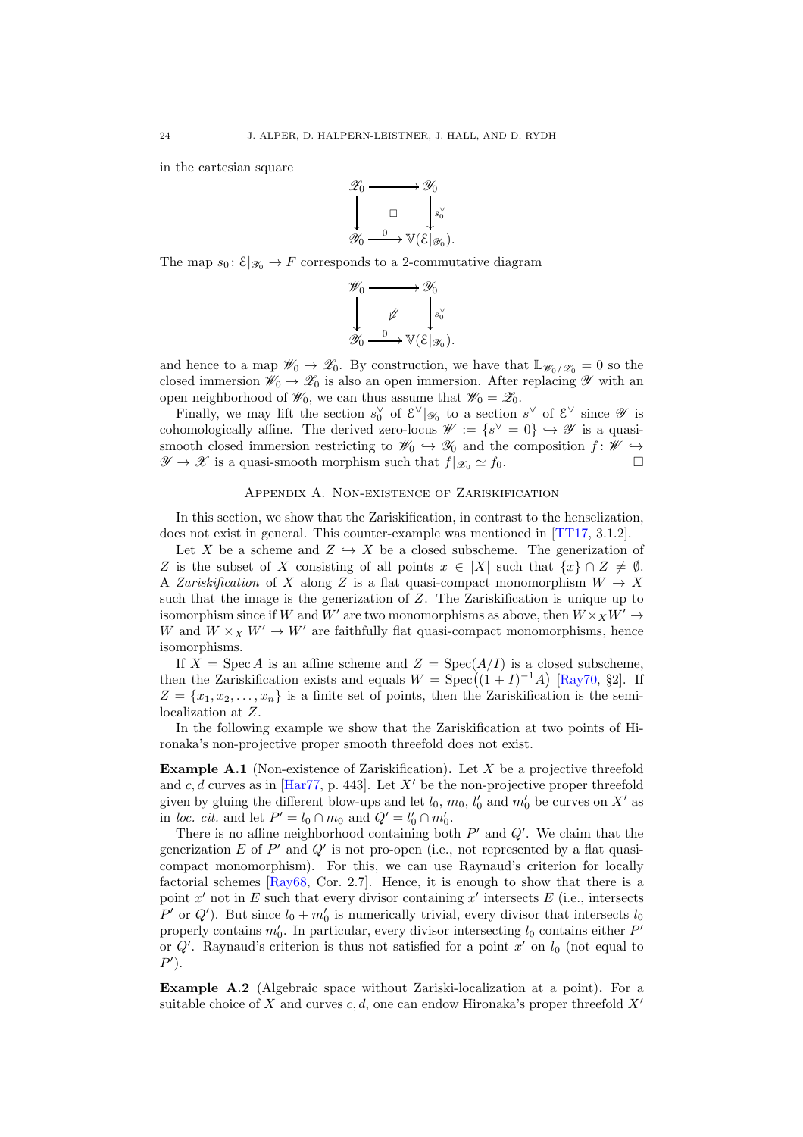in the cartesian square



The map  $s_0: \mathcal{E}|_{\mathscr{Y}_0} \to F$  corresponds to a 2-commutative diagram



and hence to a map  $\mathscr{W}_0 \to \mathscr{Z}_0$ . By construction, we have that  $\mathbb{L}_{\mathscr{W}_0/\mathscr{Z}_0} = 0$  so the closed immersion  $\mathscr{W}_0 \to \mathscr{Z}_0$  is also an open immersion. After replacing  $\mathscr{Y}$  with an open neighborhood of  $\mathscr{W}_0$ , we can thus assume that  $\mathscr{W}_0 = \mathscr{Z}_0$ .

Finally, we may lift the section  $s_0^{\vee}$  of  $\mathcal{E}^{\vee}|_{\mathscr{Y}_0}$  to a section  $s^{\vee}$  of  $\mathcal{E}^{\vee}$  since  $\mathscr{Y}$  is cohomologically affine. The derived zero-locus  $\mathscr{W} := \{s^{\vee} = 0\} \hookrightarrow \mathscr{Y}$  is a quasismooth closed immersion restricting to  $\mathscr{W}_0 \hookrightarrow \mathscr{Y}_0$  and the composition  $f: \mathscr{W} \hookrightarrow$  $\mathscr{Y} \to \mathscr{X}$  is a quasi-smooth morphism such that  $f|_{\mathscr{X}_0} \simeq f_0$ .

# Appendix A. Non-existence of Zariskification

<span id="page-23-0"></span>In this section, we show that the Zariskification, in contrast to the henselization, does not exist in general. This counter-example was mentioned in [\[TT17,](#page-25-10) 3.1.2].

Let X be a scheme and  $Z \hookrightarrow X$  be a closed subscheme. The generization of Z is the subset of X consisting of all points  $x \in |X|$  such that  $\overline{\{x\}} \cap Z \neq \emptyset$ . A *Zariskification* of X along Z is a flat quasi-compact monomorphism  $W \to X$ such that the image is the generization of Z. The Zariskification is unique up to isomorphism since if W and W' are two monomorphisms as above, then  $W \times_X W' \to$ W and  $W \times_X W' \to W'$  are faithfully flat quasi-compact monomorphisms, hence isomorphisms.

If  $X = \text{Spec } A$  is an affine scheme and  $Z = \text{Spec}(A/I)$  is a closed subscheme, then the Zariskification exists and equals  $W = \text{Spec}((1 + I)^{-1}A)$  [\[Ray70,](#page-25-2) §2]. If  $Z = \{x_1, x_2, \ldots, x_n\}$  is a finite set of points, then the Zariskification is the semilocalization at Z.

<span id="page-23-1"></span>In the following example we show that the Zariskification at two points of Hironaka's non-projective proper smooth threefold does not exist.

**Example A.1** (Non-existence of Zariskification). Let X be a projective threefold and  $c, d$  curves as in [\[Har77,](#page-24-25) p. 443]. Let X' be the non-projective proper threefold given by gluing the different blow-ups and let  $l_0$ ,  $m_0$ ,  $l'_0$  and  $m'_0$  be curves on  $X'$  as in loc. cit. and let  $P' = l_0 \cap m_0$  and  $Q' = l'_0 \cap m'_0$ .

There is no affine neighborhood containing both  $P'$  and  $Q'$ . We claim that the generization  $E$  of  $P'$  and  $Q'$  is not pro-open (i.e., not represented by a flat quasicompact monomorphism). For this, we can use Raynaud's criterion for locally factorial schemes  $[\text{Ray68}, \text{Cor. 2.7}]$ . Hence, it is enough to show that there is a point  $x'$  not in E such that every divisor containing  $x'$  intersects  $E$  (i.e., intersects P' or Q'). But since  $l_0 + m'_0$  is numerically trivial, every divisor that intersects  $l_0$ properly contains  $m'_0$ . In particular, every divisor intersecting  $l_0$  contains either  $P'$ or  $Q'$ . Raynaud's criterion is thus not satisfied for a point  $x'$  on  $l_0$  (not equal to  $P'$ ).

Example A.2 (Algebraic space without Zariski-localization at a point). For a suitable choice of X and curves c, d, one can endow Hironaka's proper threefold  $X'$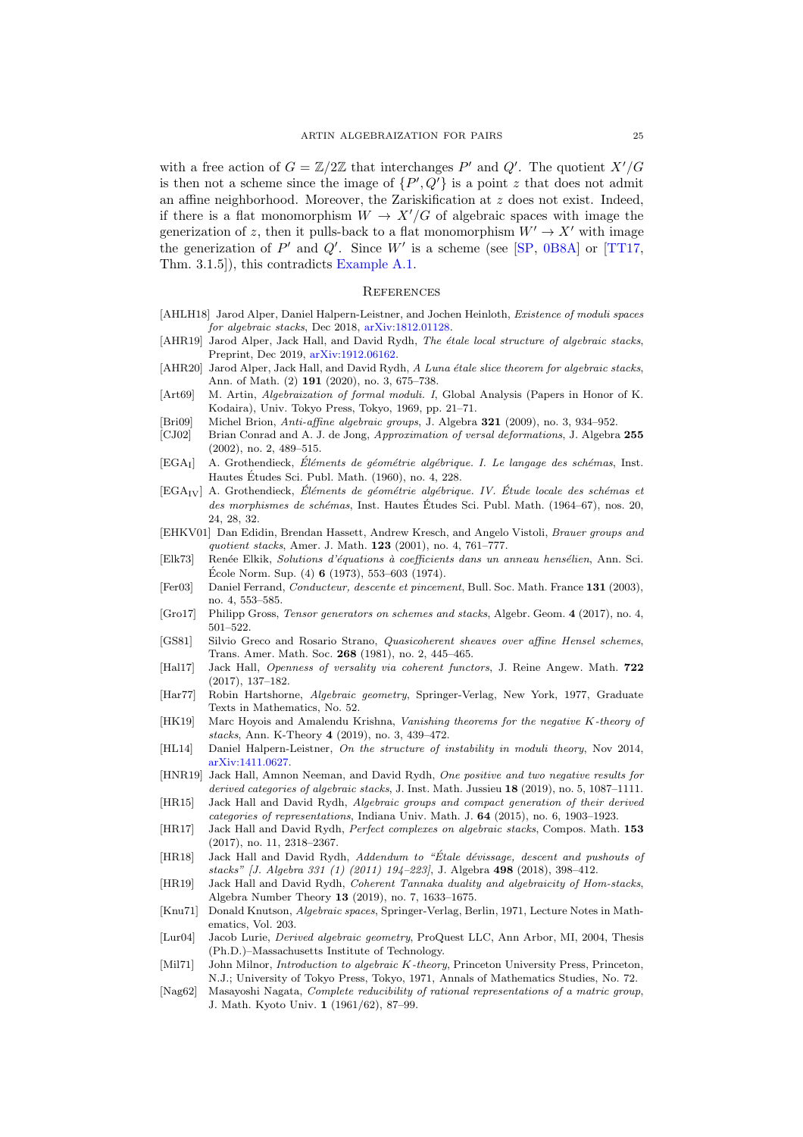with a free action of  $G = \mathbb{Z}/2\mathbb{Z}$  that interchanges P' and Q'. The quotient  $X'/G$ is then not a scheme since the image of  $\{P', Q'\}$  is a point z that does not admit an affine neighborhood. Moreover, the Zariskification at  $z$  does not exist. Indeed, if there is a flat monomorphism  $W \to X'/G$  of algebraic spaces with image the generization of z, then it pulls-back to a flat monomorphism  $W' \to X'$  with image the generization of  $P'$  and  $Q'$ . Since W' is a scheme (see [\[SP,](#page-25-0) [0B8A\]](http://stacks.math.columbia.edu/tag/0B8A) or [\[TT17,](#page-25-10) Thm. 3.1.5]), this contradicts [Example A.1.](#page-23-1)

## **REFERENCES**

- <span id="page-24-14"></span>[AHLH18] Jarod Alper, Daniel Halpern-Leistner, and Jochen Heinloth, Existence of moduli spaces for algebraic stacks, Dec 2018, [arXiv:1812.01128.](http://arXiv.org/abs/1812.01128)
- <span id="page-24-4"></span>[AHR19] Jarod Alper, Jack Hall, and David Rydh, The étale local structure of algebraic stacks, Preprint, Dec 2019, [arXiv:1912.06162.](http://arXiv.org/abs/1912.06162)
- <span id="page-24-2"></span>[AHR20] Jarod Alper, Jack Hall, and David Rydh, A Luna étale slice theorem for algebraic stacks, Ann. of Math. (2) 191 (2020), no. 3, 675–738.
- <span id="page-24-0"></span>[Art69] M. Artin, *Algebraization of formal moduli. I*, Global Analysis (Papers in Honor of K. Kodaira), Univ. Tokyo Press, Tokyo, 1969, pp. 21–71.
- <span id="page-24-21"></span>[Bri09] Michel Brion, Anti-affine algebraic groups, J. Algebra 321 (2009), no. 3, 934–952.
- <span id="page-24-1"></span>[CJ02] Brian Conrad and A. J. de Jong, Approximation of versal deformations, J. Algebra 255 (2002), no. 2, 489–515.
- <span id="page-24-17"></span> $[EGA<sub>I</sub>]$  A. Grothendieck, Éléments de géométrie algébrique. I. Le langage des schémas, Inst. Hautes Etudes Sci. Publ. Math. (1960), no. 4, 228. ´
- <span id="page-24-19"></span> $[EGA_{IV}]$  A. Grothendieck, Eléments de géométrie algébrique. IV. Étude locale des schémas et des morphismes de schémas, Inst. Hautes Études Sci. Publ. Math. (1964–67), nos. 20, 24, 28, 32.
- <span id="page-24-23"></span>[EHKV01] Dan Edidin, Brendan Hassett, Andrew Kresch, and Angelo Vistoli, Brauer groups and quotient stacks, Amer. J. Math. 123 (2001), no. 4, 761–777.
- <span id="page-24-3"></span>[Elk73] Renée Elkik, Solutions d'équations à coefficients dans un anneau hensélien, Ann. Sci. École Norm. Sup.  $(4)$  6  $(1973)$ , 553–603  $(1974)$ .
- <span id="page-24-8"></span>[Fer03] Daniel Ferrand, Conducteur, descente et pincement, Bull. Soc. Math. France 131 (2003), no. 4, 553–585.
- <span id="page-24-20"></span>[Gro17] Philipp Gross, *Tensor generators on schemes and stacks*, Algebr. Geom. 4 (2017), no. 4, 501–522.
- <span id="page-24-7"></span>[GS81] Silvio Greco and Rosario Strano, Quasicoherent sheaves over affine Hensel schemes, Trans. Amer. Math. Soc. 268 (1981), no. 2, 445–465.
- <span id="page-24-18"></span>[Hal17] Jack Hall, Openness of versality via coherent functors, J. Reine Angew. Math. 722 (2017), 137–182.
- <span id="page-24-25"></span>[Har77] Robin Hartshorne, Algebraic geometry, Springer-Verlag, New York, 1977, Graduate Texts in Mathematics, No. 52.
- <span id="page-24-10"></span>[HK19] Marc Hoyois and Amalendu Krishna, Vanishing theorems for the negative K-theory of stacks, Ann. K-Theory 4 (2019), no. 3, 439–472.
- <span id="page-24-13"></span>[HL14] Daniel Halpern-Leistner, On the structure of instability in moduli theory, Nov 2014, [arXiv:1411.0627.](http://arXiv.org/abs/1411.0627)
- <span id="page-24-12"></span>[HNR19] Jack Hall, Amnon Neeman, and David Rydh, One positive and two negative results for derived categories of algebraic stacks, J. Inst. Math. Jussieu 18 (2019), no. 5, 1087-1111. [HR15] Jack Hall and David Rydh, Algebraic groups and compact generation of their derived
- <span id="page-24-5"></span>categories of representations, Indiana Univ. Math. J. 64 (2015), no. 6, 1903–1923.
- <span id="page-24-11"></span>[HR17] Jack Hall and David Rydh, Perfect complexes on algebraic stacks, Compos. Math. 153 (2017), no. 11, 2318–2367.
- <span id="page-24-22"></span>[HR18] Jack Hall and David Rydh, Addendum to "Étale dévissage, descent and pushouts of stacks" [J. Algebra 331 (1) (2011) 194–223], J. Algebra 498 (2018), 398–412.
- <span id="page-24-15"></span>[HR19] Jack Hall and David Rydh, Coherent Tannaka duality and algebraicity of Hom-stacks, Algebra Number Theory 13 (2019), no. 7, 1633–1675.
- <span id="page-24-16"></span>[Knu71] Donald Knutson, Algebraic spaces, Springer-Verlag, Berlin, 1971, Lecture Notes in Mathematics, Vol. 203.
- <span id="page-24-24"></span>[Lur04] Jacob Lurie, Derived algebraic geometry, ProQuest LLC, Ann Arbor, MI, 2004, Thesis (Ph.D.)–Massachusetts Institute of Technology.
- <span id="page-24-9"></span>[Mil71] John Milnor, *Introduction to algebraic K-theory*, Princeton University Press, Princeton, N.J.; University of Tokyo Press, Tokyo, 1971, Annals of Mathematics Studies, No. 72.
- <span id="page-24-6"></span>[Nag62] Masayoshi Nagata, Complete reducibility of rational representations of a matric group, J. Math. Kyoto Univ. 1 (1961/62), 87–99.